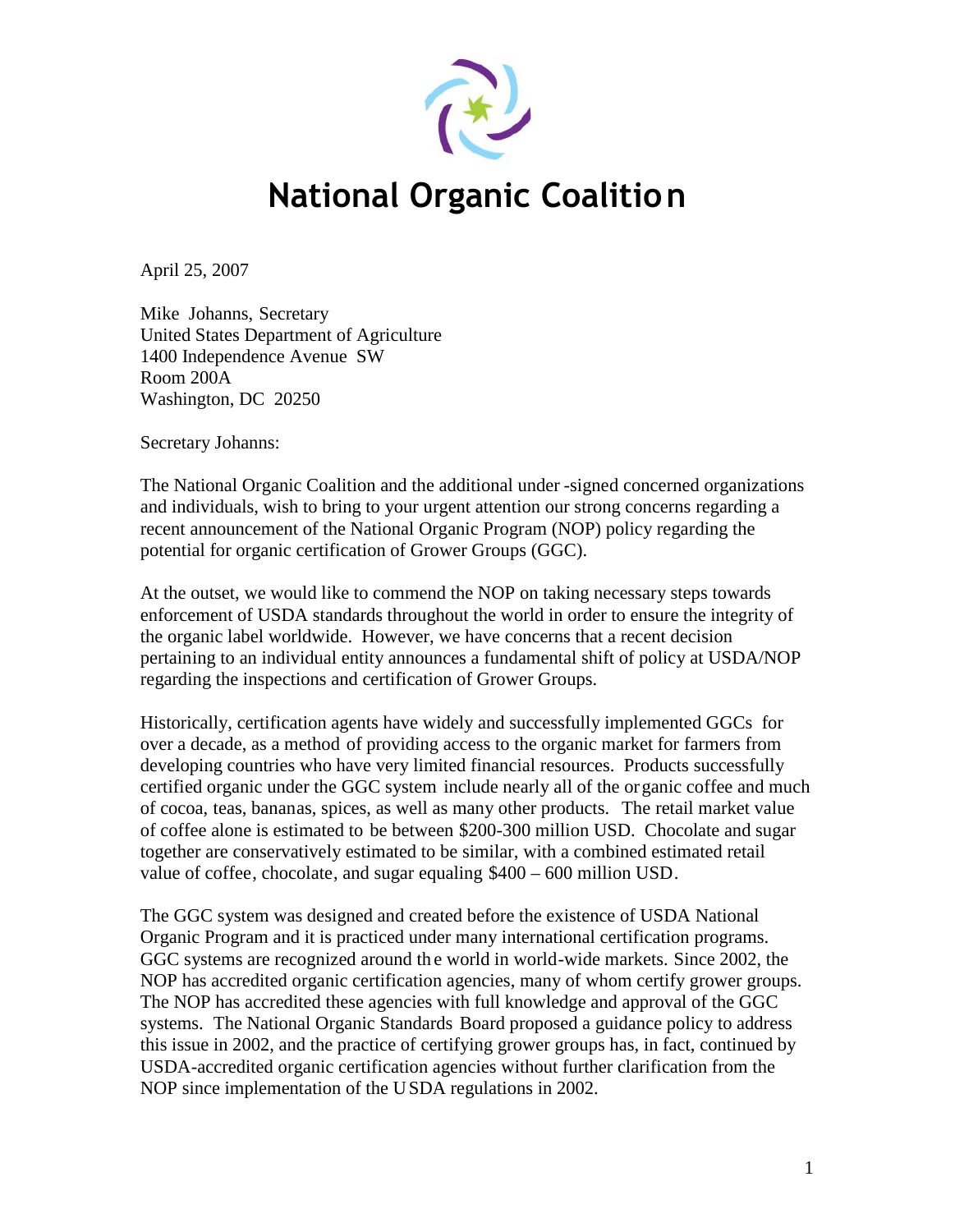

# **National Organic Coalition**

April 25, 2007

Mike Johanns, Secretary United States Department of Agriculture 1400 Independence Avenue SW Room 200A Washington, DC 20250

Secretary Johanns:

The National Organic Coalition and the additional under -signed concerned organizations and individuals, wish to bring to your urgent attention our strong concerns regarding a recent announcement of the National Organic Program (NOP) policy regarding the potential for organic certification of Grower Groups (GGC).

At the outset, we would like to commend the NOP on taking necessary steps towards enforcement of USDA standards throughout the world in order to ensure the integrity of the organic label worldwide. However, we have concerns that a recent decision pertaining to an individual entity announces a fundamental shift of policy at USDA/NOP regarding the inspections and certification of Grower Groups.

Historically, certification agents have widely and successfully implemented GGCs for over a decade, as a method of providing access to the organic market for farmers from developing countries who have very limited financial resources. Products successfully certified organic under the GGC system include nearly all of the organic coffee and much of cocoa, teas, bananas, spices, as well as many other products. The retail market value of coffee alone is estimated to be between \$200-300 million USD. Chocolate and sugar together are conservatively estimated to be similar, with a combined estimated retail value of coffee, chocolate, and sugar equaling \$400 – 600 million USD.

The GGC system was designed and created before the existence of USDA National Organic Program and it is practiced under many international certification programs. GGC systems are recognized around the world in world-wide markets. Since 2002, the NOP has accredited organic certification agencies, many of whom certify grower groups. The NOP has accredited these agencies with full knowledge and approval of the GGC systems. The National Organic Standards Board proposed a guidance policy to address this issue in 2002, and the practice of certifying grower groups has, in fact, continued by USDA-accredited organic certification agencies without further clarification from the NOP since implementation of the USDA regulations in 2002.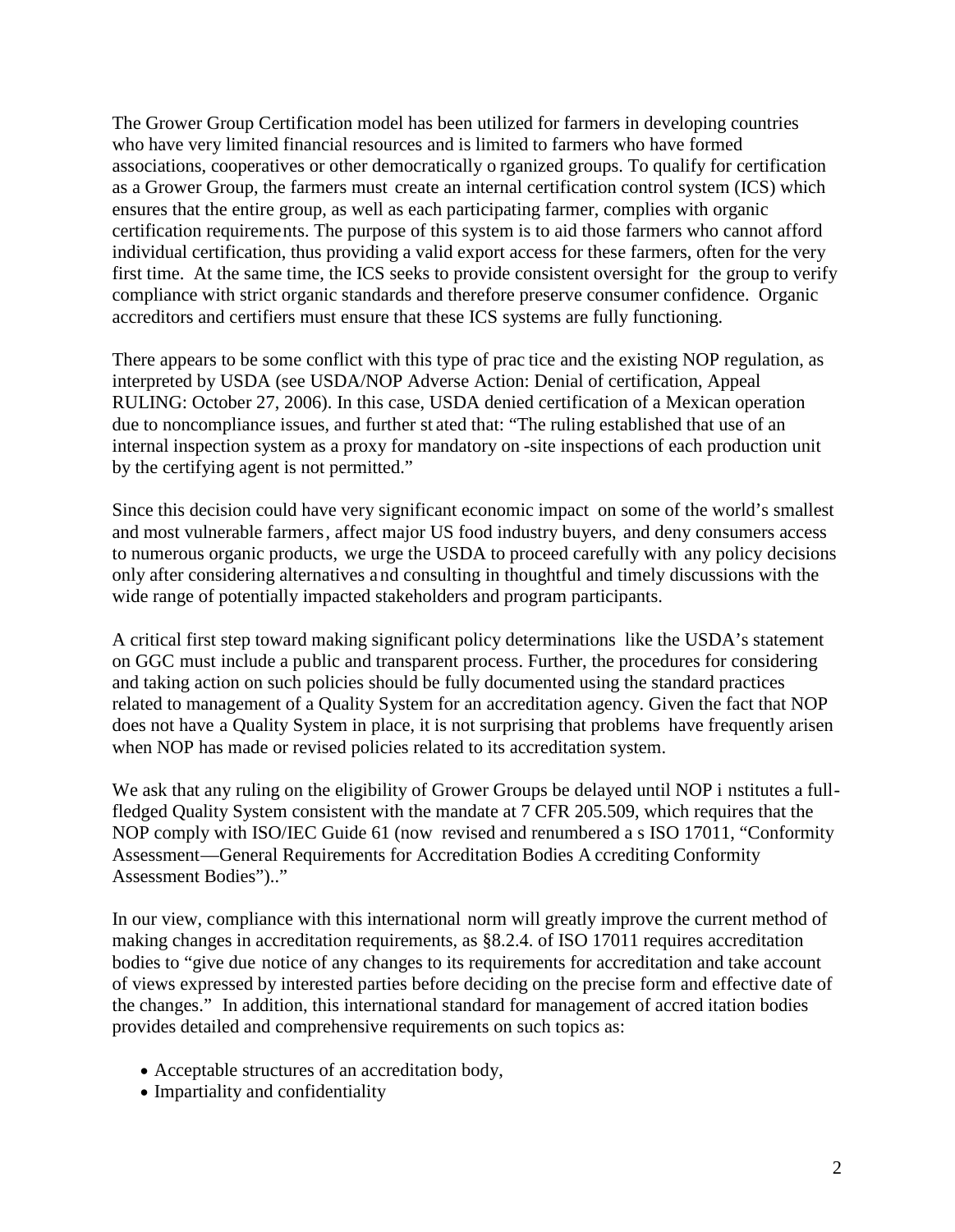The Grower Group Certification model has been utilized for farmers in developing countries who have very limited financial resources and is limited to farmers who have formed associations, cooperatives or other democratically o rganized groups. To qualify for certification as a Grower Group, the farmers must create an internal certification control system (ICS) which ensures that the entire group, as well as each participating farmer, complies with organic certification requirements. The purpose of this system is to aid those farmers who cannot afford individual certification, thus providing a valid export access for these farmers, often for the very first time. At the same time, the ICS seeks to provide consistent oversight for the group to verify compliance with strict organic standards and therefore preserve consumer confidence. Organic accreditors and certifiers must ensure that these ICS systems are fully functioning.

There appears to be some conflict with this type of prac tice and the existing NOP regulation, as interpreted by USDA (see USDA/NOP Adverse Action: Denial of certification, Appeal RULING: October 27, 2006). In this case, USDA denied certification of a Mexican operation due to noncompliance issues, and further st ated that: "The ruling established that use of an internal inspection system as a proxy for mandatory on -site inspections of each production unit by the certifying agent is not permitted."

Since this decision could have very significant economic impact on some of the world's smallest and most vulnerable farmers, affect major US food industry buyers, and deny consumers access to numerous organic products, we urge the USDA to proceed carefully with any policy decisions only after considering alternatives a nd consulting in thoughtful and timely discussions with the wide range of potentially impacted stakeholders and program participants.

A critical first step toward making significant policy determinations like the USDA's statement on GGC must include a public and transparent process. Further, the procedures for considering and taking action on such policies should be fully documented using the standard practices related to management of a Quality System for an accreditation agency. Given the fact that NOP does not have a Quality System in place, it is not surprising that problems have frequently arisen when NOP has made or revised policies related to its accreditation system.

We ask that any ruling on the eligibility of Grower Groups be delayed until NOP i nstitutes a fullfledged Quality System consistent with the mandate at 7 CFR 205.509, which requires that the NOP comply with ISO/IEC Guide 61 (now revised and renumbered a s ISO 17011, "Conformity Assessment—General Requirements for Accreditation Bodies A ccrediting Conformity Assessment Bodies").."

In our view, compliance with this international norm will greatly improve the current method of making changes in accreditation requirements, as §8.2.4. of ISO 17011 requires accreditation bodies to "give due notice of any changes to its requirements for accreditation and take account of views expressed by interested parties before deciding on the precise form and effective date of the changes." In addition, this international standard for management of accred itation bodies provides detailed and comprehensive requirements on such topics as:

- Acceptable structures of an accreditation body,
- Impartiality and confidentiality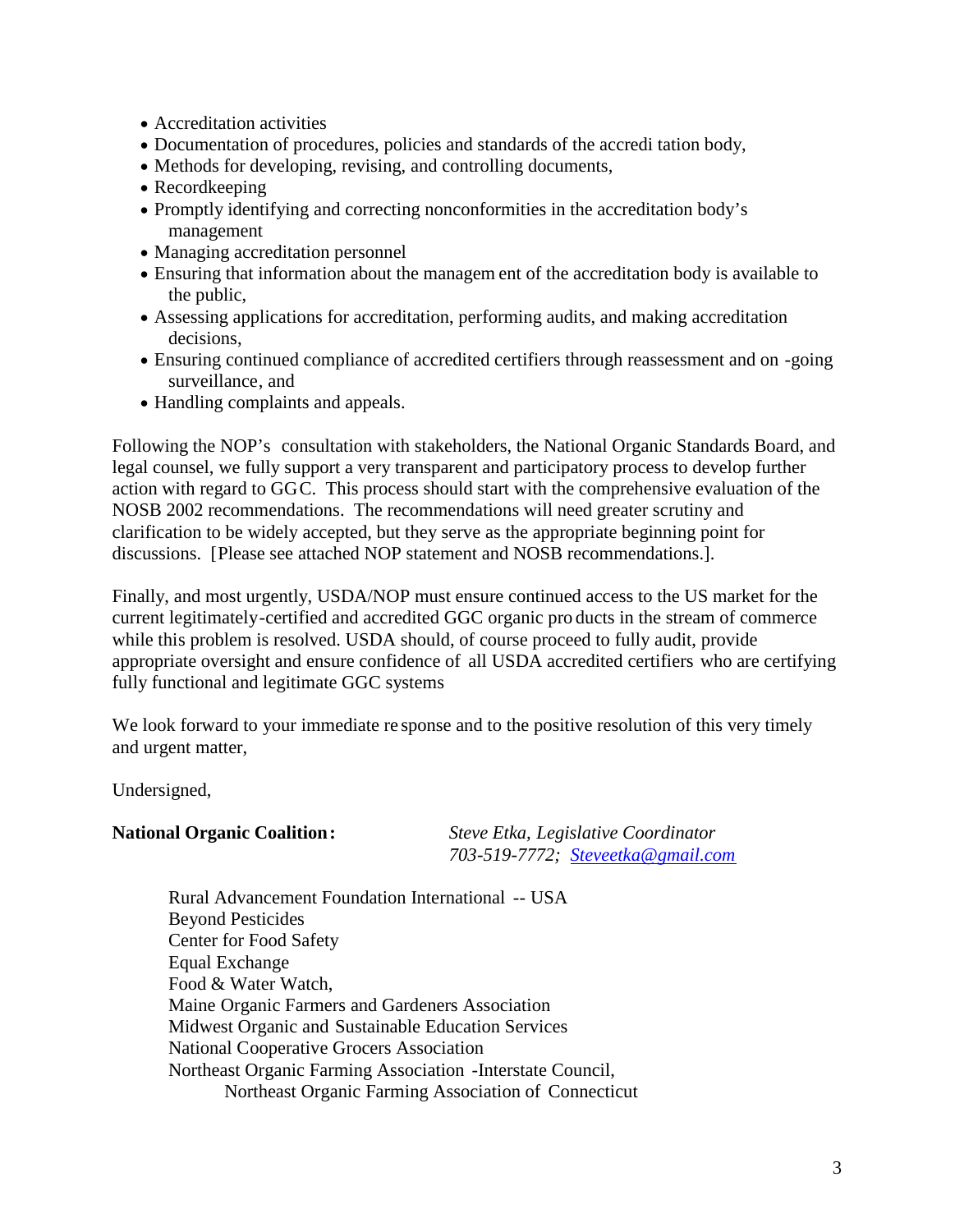- Accreditation activities
- Documentation of procedures, policies and standards of the accredi tation body,
- Methods for developing, revising, and controlling documents,
- Recordkeeping
- Promptly identifying and correcting nonconformities in the accreditation body's management
- Managing accreditation personnel
- Ensuring that information about the managem ent of the accreditation body is available to the public,
- Assessing applications for accreditation, performing audits, and making accreditation decisions,
- Ensuring continued compliance of accredited certifiers through reassessment and on -going surveillance, and
- Handling complaints and appeals.

Following the NOP's consultation with stakeholders, the National Organic Standards Board, and legal counsel, we fully support a very transparent and participatory process to develop further action with regard to GGC. This process should start with the comprehensive evaluation of the NOSB 2002 recommendations. The recommendations will need greater scrutiny and clarification to be widely accepted, but they serve as the appropriate beginning point for discussions. [Please see attached NOP statement and NOSB recommendations.].

Finally, and most urgently, USDA/NOP must ensure continued access to the US market for the current legitimately-certified and accredited GGC organic pro ducts in the stream of commerce while this problem is resolved. USDA should, of course proceed to fully audit, provide appropriate oversight and ensure confidence of all USDA accredited certifiers who are certifying fully functional and legitimate GGC systems

We look forward to your immediate response and to the positive resolution of this very timely and urgent matter,

Undersigned,

**National Organic Coalition:** *Steve Etka, Legislative Coordinator 703-519-7772; Steveet[ka@gmail.com](Steveetka@gmail.com)*

Rural Advancement Foundation International -- USA Beyond Pesticides Center for Food Safety Equal Exchange Food & Water Watch, Maine Organic Farmers and Gardeners Association Midwest Organic and Sustainable Education Services National Cooperative Grocers Association Northeast Organic Farming Association -Interstate Council, Northeast Organic Farming Association of Connecticut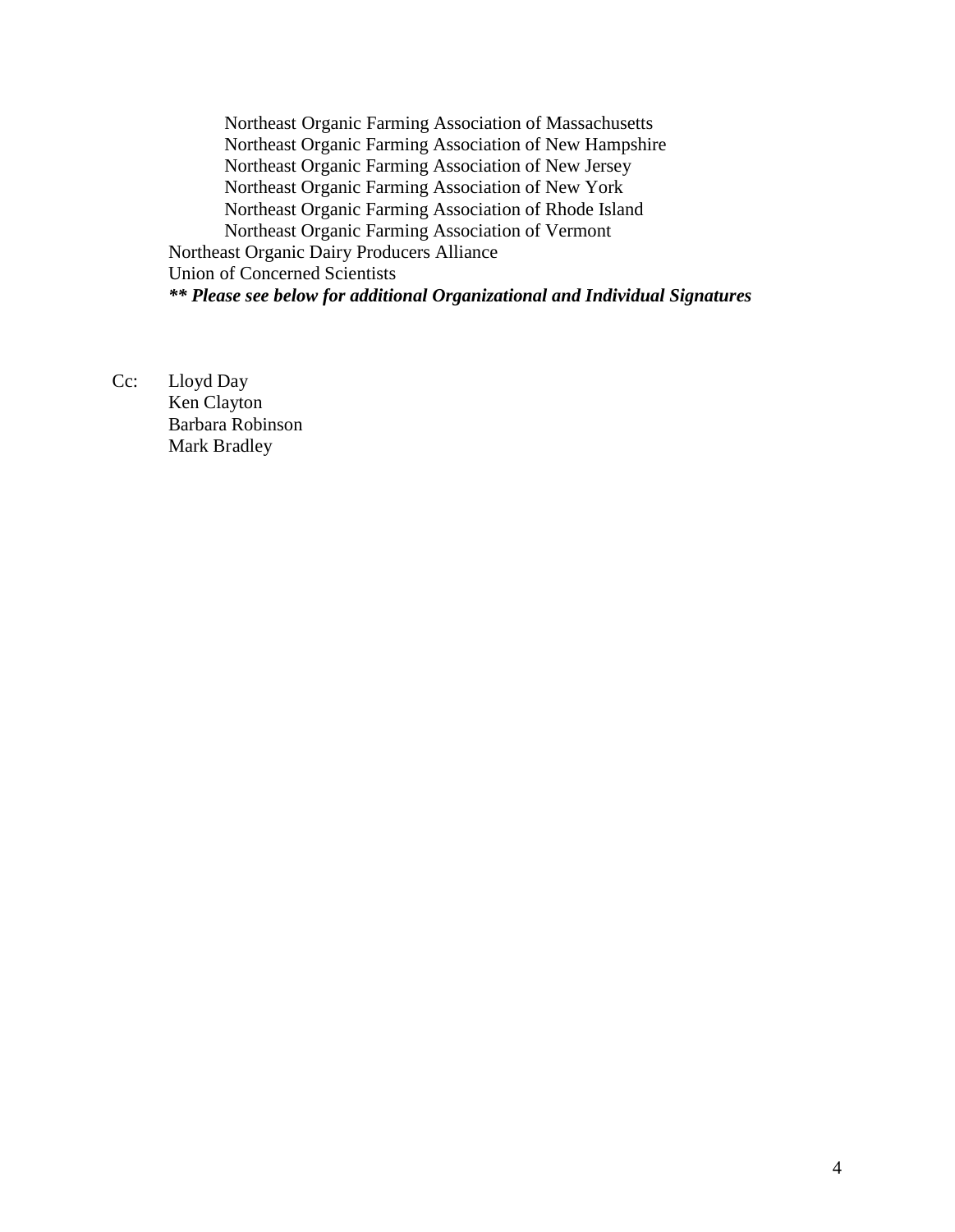Northeast Organic Farming Association of Massachusetts Northeast Organic Farming Association of New Hampshire Northeast Organic Farming Association of New Jersey Northeast Organic Farming Association of New York Northeast Organic Farming Association of Rhode Island Northeast Organic Farming Association of Vermont Northeast Organic Dairy Producers Alliance Union of Concerned Scientists *\*\* Please see below for additional Organizational and Individual Signatures*

Cc: Lloyd Day Ken Clayton Barbara Robinson Mark Bradley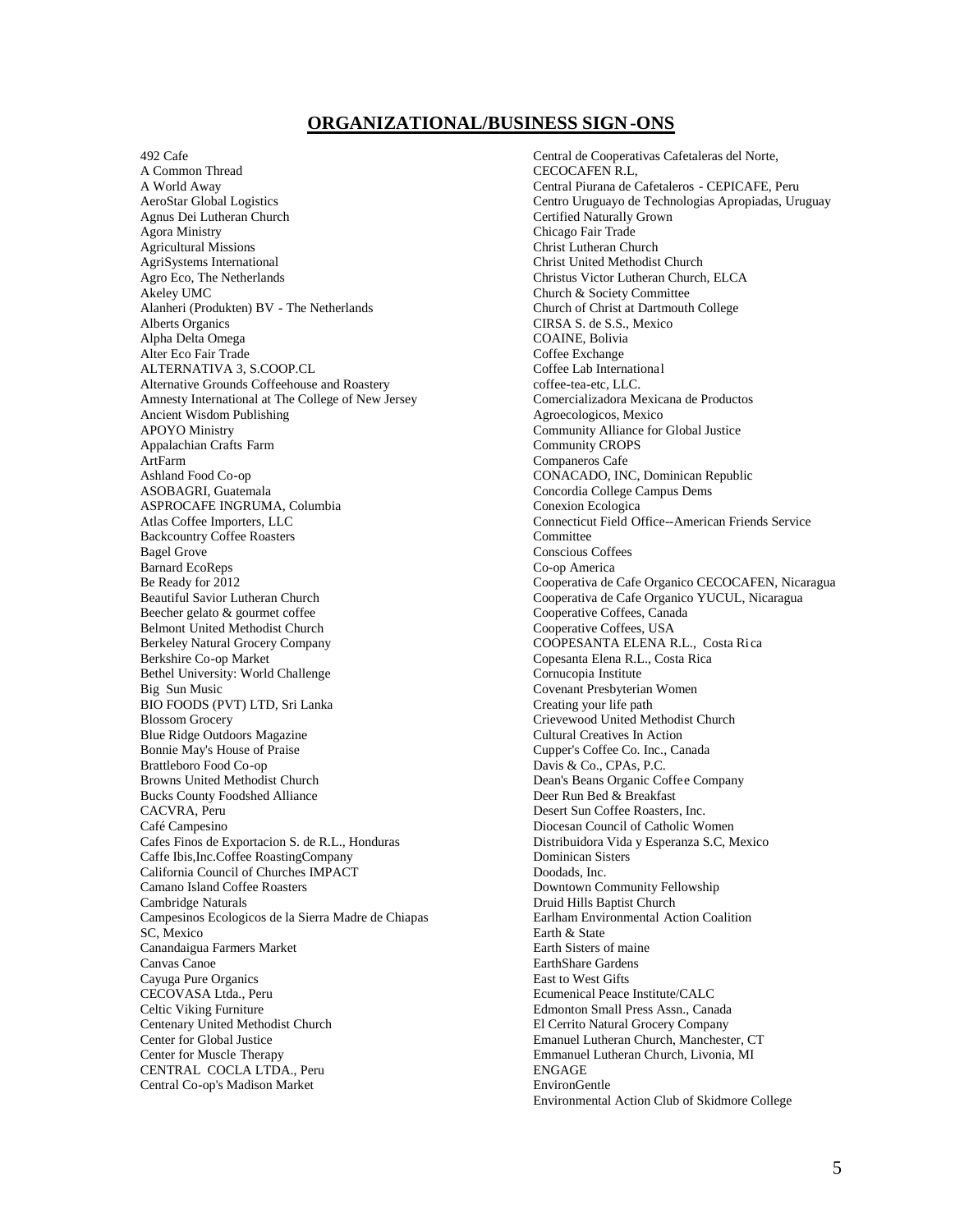#### **ORGANIZATIONAL/BUSINESS SIGN-ONS**

492 Cafe

A Common Thread A World Away AeroStar Global Logistics Agnus Dei Lutheran Church Agora Ministry Agricultural Missions AgriSystems International Agro Eco, The Netherlands Akeley UMC Alanheri (Produkten) BV - The Netherlands Alberts Organics Alpha Delta Omega Alter Eco Fair Trade ALTERNATIVA 3, S.COOP.CL Alternative Grounds Coffeehouse and Roastery Amnesty International at The College of New Jersey Ancient Wisdom Publishing APOYO Ministry Appalachian Crafts Farm ArtFarm Ashland Food Co-op ASOBAGRI, Guatemala ASPROCAFE INGRUMA, Columbia Atlas Coffee Importers, LLC Backcountry Coffee Roasters Bagel Grove Barnard EcoReps Be Ready for 2012 Beautiful Savior Lutheran Church Beecher gelato & gourmet coffee Belmont United Methodist Church Berkeley Natural Grocery Company Berkshire Co-op Market Bethel University: World Challenge Big Sun Music BIO FOODS (PVT) LTD, Sri Lanka Blossom Grocery Blue Ridge Outdoors Magazine Bonnie May's House of Praise Brattleboro Food Co-op Browns United Methodist Church Bucks County Foodshed Alliance CACVRA, Peru Café Campesino Cafes Finos de Exportacion S. de R.L., Honduras Caffe Ibis,Inc.Coffee RoastingCompany California Council of Churches IMPACT Camano Island Coffee Roasters Cambridge Naturals Campesinos Ecologicos de la Sierra Madre de Chiapas SC, Mexico Canandaigua Farmers Market Canvas Canoe Cayuga Pure Organics CECOVASA Ltda., Peru Celtic Viking Furniture Centenary United Methodist Church Center for Global Justice Center for Muscle Therapy CENTRAL COCLA LTDA., Peru Central Co-op's Madison Market

Central de Cooperativas Cafetaleras del Norte, CECOCAFEN R.L, Central Piurana de Cafetaleros - CEPICAFE, Peru Centro Uruguayo de Technologias Apropiadas, Uruguay Certified Naturally Grown Chicago Fair Trade Christ Lutheran Church Christ United Methodist Church Christus Victor Lutheran Church, ELCA Church & Society Committee Church of Christ at Dartmouth College CIRSA S. de S.S., Mexico COAINE, Bolivia Coffee Exchange Coffee Lab International coffee-tea-etc, LLC. Comercializadora Mexicana de Productos Agroecologicos, Mexico Community Alliance for Global Justice Community CROPS Companeros Cafe CONACADO, INC, Dominican Republic Concordia College Campus Dems Conexion Ecologica Connecticut Field Office--American Friends Service **Committee** Conscious Coffees Co-op America Cooperativa de Cafe Organico CECOCAFEN, Nicaragua Cooperativa de Cafe Organico YUCUL, Nicaragua Cooperative Coffees, Canada Cooperative Coffees, USA COOPESANTA ELENA R.L., Costa Ri ca Copesanta Elena R.L., Costa Rica Cornucopia Institute Covenant Presbyterian Women Creating your life path Crievewood United Methodist Church Cultural Creatives In Action Cupper's Coffee Co. Inc., Canada Davis & Co., CPAs, P.C. Dean's Beans Organic Coffee Company Deer Run Bed & Breakfast Desert Sun Coffee Roasters, Inc. Diocesan Council of Catholic Women Distribuidora Vida y Esperanza S.C, Mexico Dominican Sisters Doodads, Inc. Downtown Community Fellowship Druid Hills Baptist Church Earlham Environmental Action Coalition Earth & State Earth Sisters of maine EarthShare Gardens East to West Gifts Ecumenical Peace Institute/CALC Edmonton Small Press Assn., Canada El Cerrito Natural Grocery Company Emanuel Lutheran Church, Manchester, CT Emmanuel Lutheran Church, Livonia, MI ENGAGE EnvironGentle Environmental Action Club of Skidmore College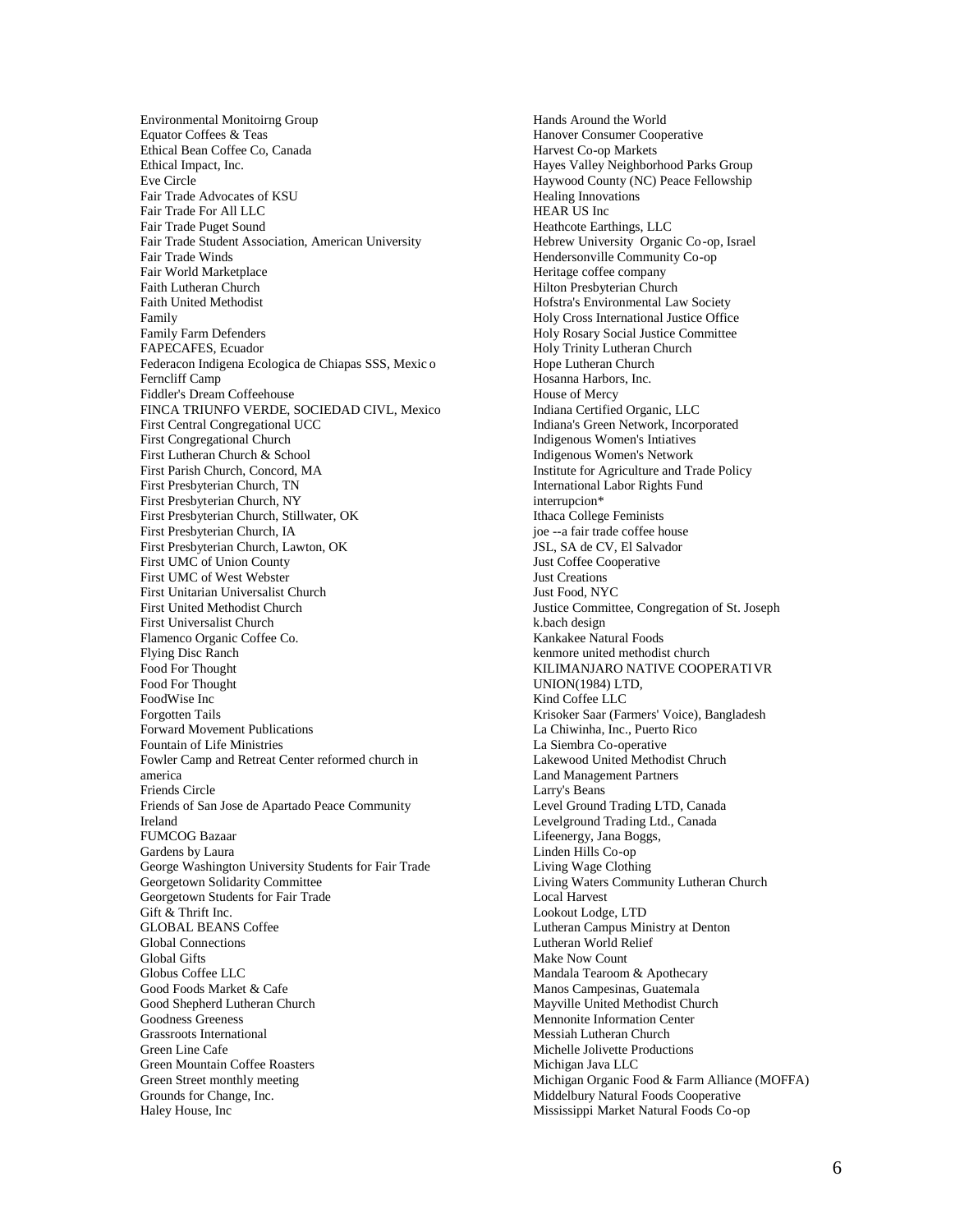Environmental Monitoirng Group Equator Coffees & Teas Ethical Bean Coffee Co, Canada Ethical Impact, Inc. Eve Circle Fair Trade Advocates of KSU Fair Trade For All LLC Fair Trade Puget Sound Fair Trade Student Association, American University Fair Trade Winds Fair World Marketplace Faith Lutheran Church Faith United Methodist Family Family Farm Defenders FAPECAFES, Ecuador Federacon Indigena Ecologica de Chiapas SSS, Mexic o Ferncliff Camp Fiddler's Dream Coffeehouse FINCA TRIUNFO VERDE, SOCIEDAD CIVL, Mexico First Central Congregational UCC First Congregational Church First Lutheran Church & School First Parish Church, Concord, MA First Presbyterian Church, TN First Presbyterian Church, NY First Presbyterian Church, Stillwater, OK First Presbyterian Church, IA First Presbyterian Church, Lawton, OK First UMC of Union County First UMC of West Webster First Unitarian Universalist Church First United Methodist Church First Universalist Church Flamenco Organic Coffee Co. Flying Disc Ranch Food For Thought Food For Thought FoodWise Inc Forgotten Tails Forward Movement Publications Fountain of Life Ministries Fowler Camp and Retreat Center reformed church in america Friends Circle Friends of San Jose de Apartado Peace Community Ireland FUMCOG Bazaar Gardens by Laura George Washington University Students for Fair Trade Georgetown Solidarity Committee Georgetown Students for Fair Trade Gift & Thrift Inc. GLOBAL BEANS Coffee Global Connections Global Gifts Globus Coffee LLC Good Foods Market & Cafe Good Shepherd Lutheran Church Goodness Greeness Grassroots International Green Line Cafe Green Mountain Coffee Roasters Green Street monthly meeting Grounds for Change, Inc. Haley House, Inc

Hands Around the World Hanover Consumer Cooperative Harvest Co-op Markets Hayes Valley Neighborhood Parks Group Haywood County (NC) Peace Fellowship Healing Innovations HEAR US Inc Heathcote Earthings, LLC Hebrew University Organic Co-op, Israel Hendersonville Community Co-op Heritage coffee company Hilton Presbyterian Church Hofstra's Environmental Law Society Holy Cross International Justice Office Holy Rosary Social Justice Committee Holy Trinity Lutheran Church Hope Lutheran Church Hosanna Harbors, Inc. House of Mercy Indiana Certified Organic, LLC Indiana's Green Network, Incorporated Indigenous Women's Intiatives Indigenous Women's Network Institute for Agriculture and Trade Policy International Labor Rights Fund interrupcion\* Ithaca College Feminists joe --a fair trade coffee house JSL, SA de CV, El Salvador Just Coffee Cooperative Just Creations Just Food, NYC Justice Committee, Congregation of St. Joseph k.bach design Kankakee Natural Foods kenmore united methodist church KILIMANJARO NATIVE COOPERATIVR UNION(1984) LTD, Kind Coffee LLC Krisoker Saar (Farmers' Voice), Bangladesh La Chiwinha, Inc., Puerto Rico La Siembra Co-operative Lakewood United Methodist Chruch Land Management Partners Larry's Beans Level Ground Trading LTD, Canada Levelground Trading Ltd., Canada Lifeenergy, Jana Boggs, Linden Hills Co-op Living Wage Clothing Living Waters Community Lutheran Church Local Harvest Lookout Lodge, LTD Lutheran Campus Ministry at Denton Lutheran World Relief Make Now Count Mandala Tearoom & Apothecary Manos Campesinas, Guatemala Mayville United Methodist Church Mennonite Information Center Messiah Lutheran Church Michelle Jolivette Productions Michigan Java LLC Michigan Organic Food & Farm Alliance (MOFFA) Middelbury Natural Foods Cooperative Mississippi Market Natural Foods Co-op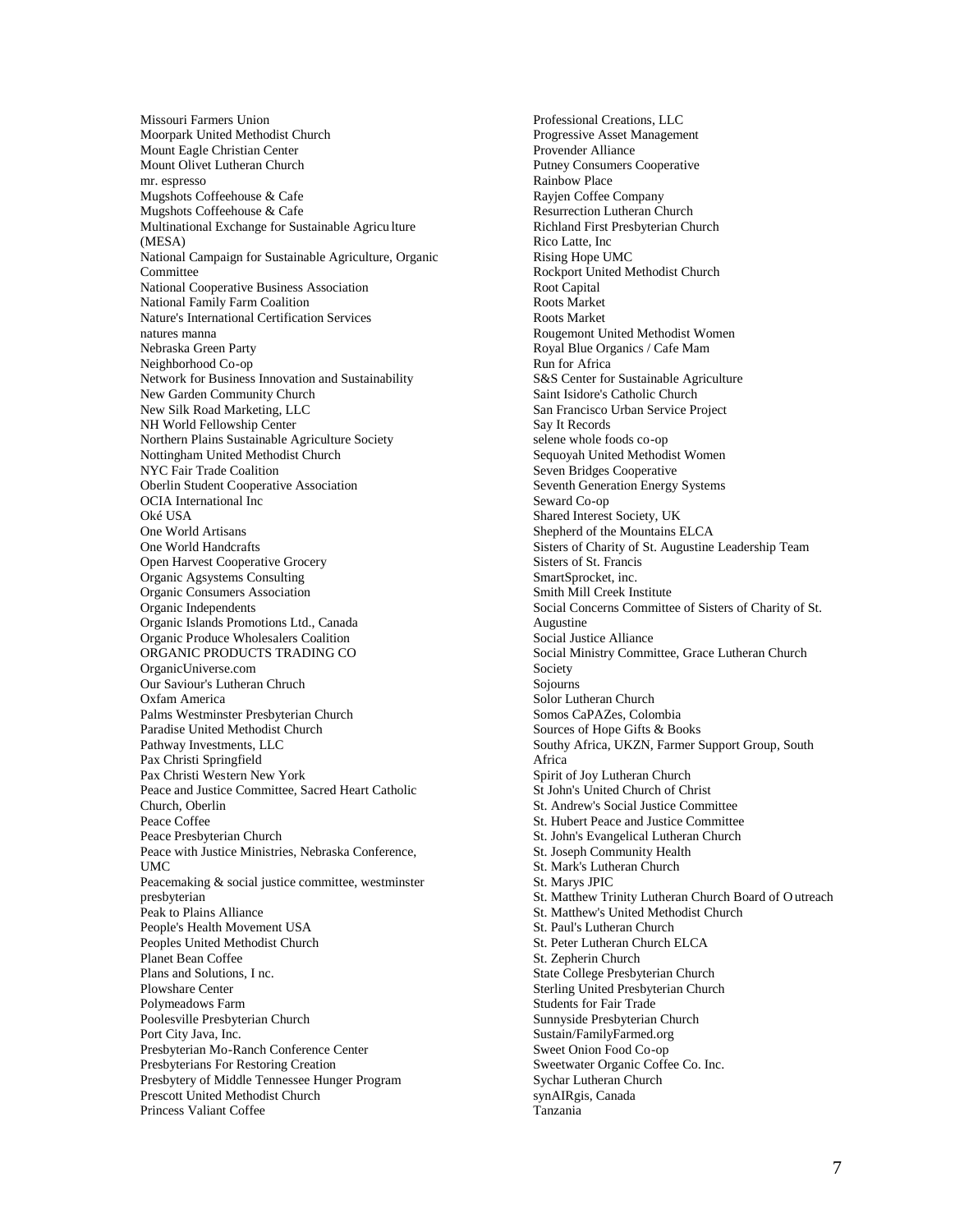Missouri Farmers Union Moorpark United Methodist Church Mount Eagle Christian Center Mount Olivet Lutheran Church mr. espresso Mugshots Coffeehouse & Cafe Mugshots Coffeehouse & Cafe Multinational Exchange for Sustainable Agricu lture (MESA) National Campaign for Sustainable Agriculture, Organic Committee National Cooperative Business Association National Family Farm Coalition Nature's International Certification Services natures manna Nebraska Green Party Neighborhood Co-op Network for Business Innovation and Sustainability New Garden Community Church New Silk Road Marketing, LLC NH World Fellowship Center Northern Plains Sustainable Agriculture Society Nottingham United Methodist Church NYC Fair Trade Coalition Oberlin Student Cooperative Association OCIA International Inc Oké USA One World Artisans One World Handcrafts Open Harvest Cooperative Grocery Organic Agsystems Consulting Organic Consumers Association Organic Independents Organic Islands Promotions Ltd., Canada Organic Produce Wholesalers Coalition ORGANIC PRODUCTS TRADING CO OrganicUniverse.com Our Saviour's Lutheran Chruch Oxfam America Palms Westminster Presbyterian Church Paradise United Methodist Church Pathway Investments, LLC Pax Christi Springfield Pax Christi Western New York Peace and Justice Committee, Sacred Heart Catholic Church, Oberlin Peace Coffee Peace Presbyterian Church Peace with Justice Ministries, Nebraska Conference, **UMC** Peacemaking & social justice committee, westminster presbyterian Peak to Plains Alliance People's Health Movement USA Peoples United Methodist Church Planet Bean Coffee Plans and Solutions, I nc. Plowshare Center Polymeadows Farm Poolesville Presbyterian Church Port City Java, Inc. Presbyterian Mo-Ranch Conference Center Presbyterians For Restoring Creation Presbytery of Middle Tennessee Hunger Program Prescott United Methodist Church Princess Valiant Coffee

Professional Creations, LLC Progressive Asset Management Provender Alliance Putney Consumers Cooperative Rainbow Place Rayjen Coffee Company Resurrection Lutheran Church Richland First Presbyterian Church Rico Latte, Inc Rising Hope UMC Rockport United Methodist Church Root Capital Roots Market Roots Market Rougemont United Methodist Women Royal Blue Organics / Cafe Mam Run for Africa S&S Center for Sustainable Agriculture Saint Isidore's Catholic Church San Francisco Urban Service Project Say It Records selene whole foods co-op Sequoyah United Methodist Women Seven Bridges Cooperative Seventh Generation Energy Systems Seward Co-op Shared Interest Society, UK Shepherd of the Mountains ELCA Sisters of Charity of St. Augustine Leadership Team Sisters of St. Francis SmartSprocket, inc. Smith Mill Creek Institute Social Concerns Committee of Sisters of Charity of St. Augustine Social Justice Alliance Social Ministry Committee, Grace Lutheran Church Society Sojourns Solor Lutheran Church Somos CaPAZes, Colombia Sources of Hope Gifts & Books Southy Africa, UKZN, Farmer Support Group, South Africa Spirit of Joy Lutheran Church St John's United Church of Christ St. Andrew's Social Justice Committee St. Hubert Peace and Justice Committee St. John's Evangelical Lutheran Church St. Joseph Community Health St. Mark's Lutheran Church St. Marys JPIC St. Matthew Trinity Lutheran Church Board of O utreach St. Matthew's United Methodist Church St. Paul's Lutheran Church St. Peter Lutheran Church ELCA St. Zepherin Church State College Presbyterian Church Sterling United Presbyterian Church Students for Fair Trade Sunnyside Presbyterian Church Sustain/FamilyFarmed.org Sweet Onion Food Co-op Sweetwater Organic Coffee Co. Inc. Sychar Lutheran Church synAIRgis, Canada Tanzania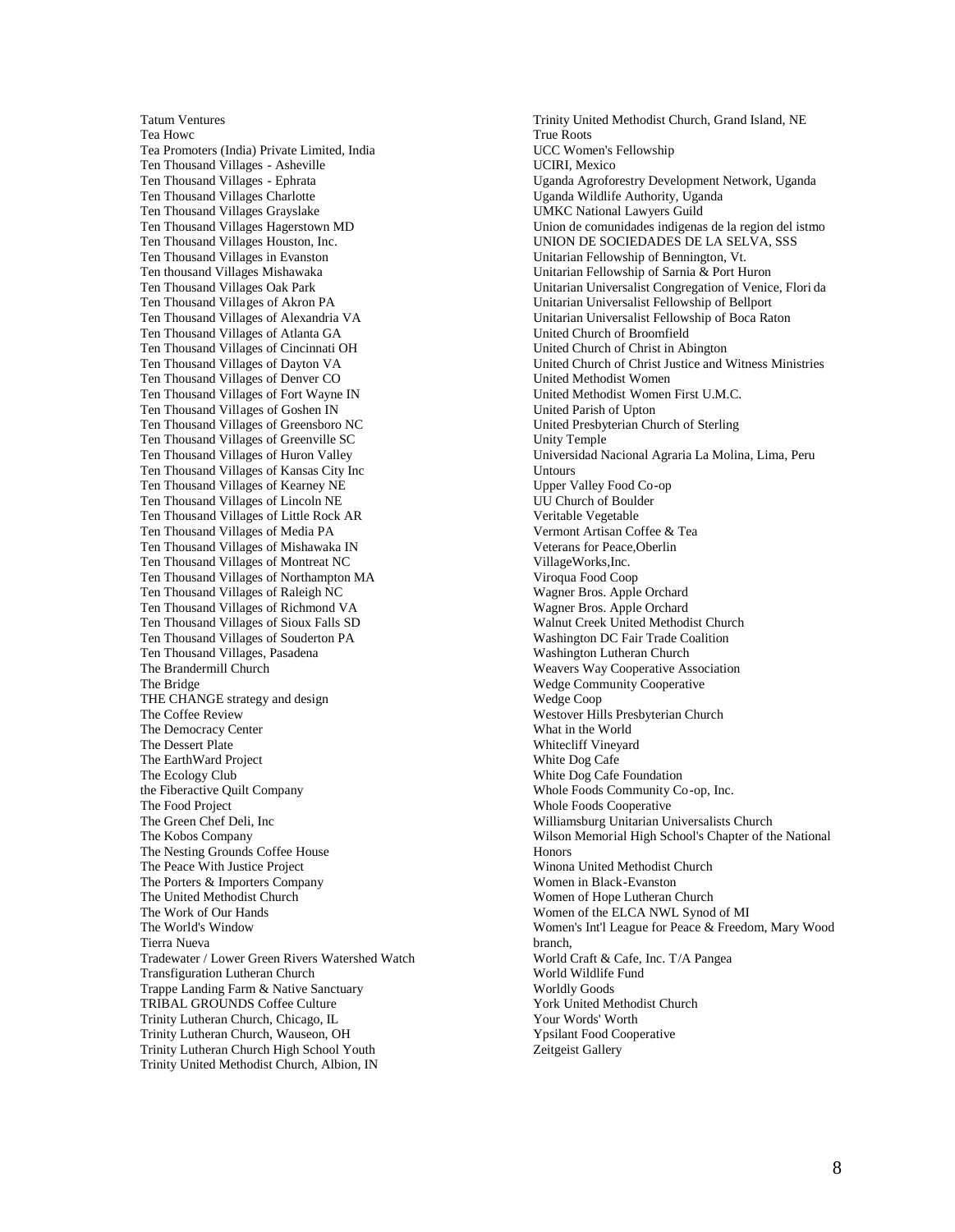Tatum Ventures Tea Howc Tea Promoters (India) Private Limited, India Ten Thousand Villages - Asheville Ten Thousand Villages - Ephrata Ten Thousand Villages Charlotte Ten Thousand Villages Grayslake Ten Thousand Villages Hagerstown MD Ten Thousand Villages Houston, Inc. Ten Thousand Villages in Evanston Ten thousand Villages Mishawaka Ten Thousand Villages Oak Park Ten Thousand Villages of Akron PA Ten Thousand Villages of Alexandria VA Ten Thousand Villages of Atlanta GA Ten Thousand Villages of Cincinnati OH Ten Thousand Villages of Dayton VA Ten Thousand Villages of Denver CO Ten Thousand Villages of Fort Wayne IN Ten Thousand Villages of Goshen IN Ten Thousand Villages of Greensboro NC Ten Thousand Villages of Greenville SC Ten Thousand Villages of Huron Valley Ten Thousand Villages of Kansas City Inc Ten Thousand Villages of Kearney NE Ten Thousand Villages of Lincoln NE Ten Thousand Villages of Little Rock AR Ten Thousand Villages of Media PA Ten Thousand Villages of Mishawaka IN Ten Thousand Villages of Montreat NC Ten Thousand Villages of Northampton MA Ten Thousand Villages of Raleigh NC Ten Thousand Villages of Richmond VA Ten Thousand Villages of Sioux Falls SD Ten Thousand Villages of Souderton PA Ten Thousand Villages, Pasadena The Brandermill Church The Bridge THE CHANGE strategy and design The Coffee Review The Democracy Center The Dessert Plate The EarthWard Project The Ecology Club the Fiberactive Quilt Company The Food Project The Green Chef Deli, Inc The Kobos Company The Nesting Grounds Coffee House The Peace With Justice Project The Porters & Importers Company The United Methodist Church The Work of Our Hands The World's Window Tierra Nueva Tradewater / Lower Green Rivers Watershed Watch Transfiguration Lutheran Church Trappe Landing Farm & Native Sanctuary TRIBAL GROUNDS Coffee Culture Trinity Lutheran Church, Chicago, IL Trinity Lutheran Church, Wauseon, OH Trinity Lutheran Church High School Youth Trinity United Methodist Church, Albion, IN

Trinity United Methodist Church, Grand Island, NE True Roots UCC Women's Fellowship UCIRI, Mexico Uganda Agroforestry Development Network, Uganda Uganda Wildlife Authority, Uganda UMKC National Lawyers Guild Union de comunidades indigenas de la region del istmo UNION DE SOCIEDADES DE LA SELVA, SSS Unitarian Fellowship of Bennington, Vt. Unitarian Fellowship of Sarnia & Port Huron Unitarian Universalist Congregation of Venice, Flori da Unitarian Universalist Fellowship of Bellport Unitarian Universalist Fellowship of Boca Raton United Church of Broomfield United Church of Christ in Abington United Church of Christ Justice and Witness Ministries United Methodist Women United Methodist Women First U.M.C. United Parish of Upton United Presbyterian Church of Sterling Unity Temple Universidad Nacional Agraria La Molina, Lima, Peru **Untours** Upper Valley Food Co-op UU Church of Boulder Veritable Vegetable Vermont Artisan Coffee & Tea Veterans for Peace,Oberlin VillageWorks,Inc. Viroqua Food Coop Wagner Bros. Apple Orchard Wagner Bros. Apple Orchard Walnut Creek United Methodist Church Washington DC Fair Trade Coalition Washington Lutheran Church Weavers Way Cooperative Association Wedge Community Cooperative Wedge Coop Westover Hills Presbyterian Church What in the World Whitecliff Vineyard White Dog Cafe White Dog Cafe Foundation Whole Foods Community Co-op, Inc. Whole Foods Cooperative Williamsburg Unitarian Universalists Church Wilson Memorial High School's Chapter of the National Honors Winona United Methodist Church Women in Black-Evanston Women of Hope Lutheran Church Women of the ELCA NWL Synod of MI Women's Int'l League for Peace & Freedom, Mary Wood branch, World Craft & Cafe, Inc. T/A Pangea World Wildlife Fund Worldly Goods York United Methodist Church Your Words' Worth Ypsilant Food Cooperative Zeitgeist Gallery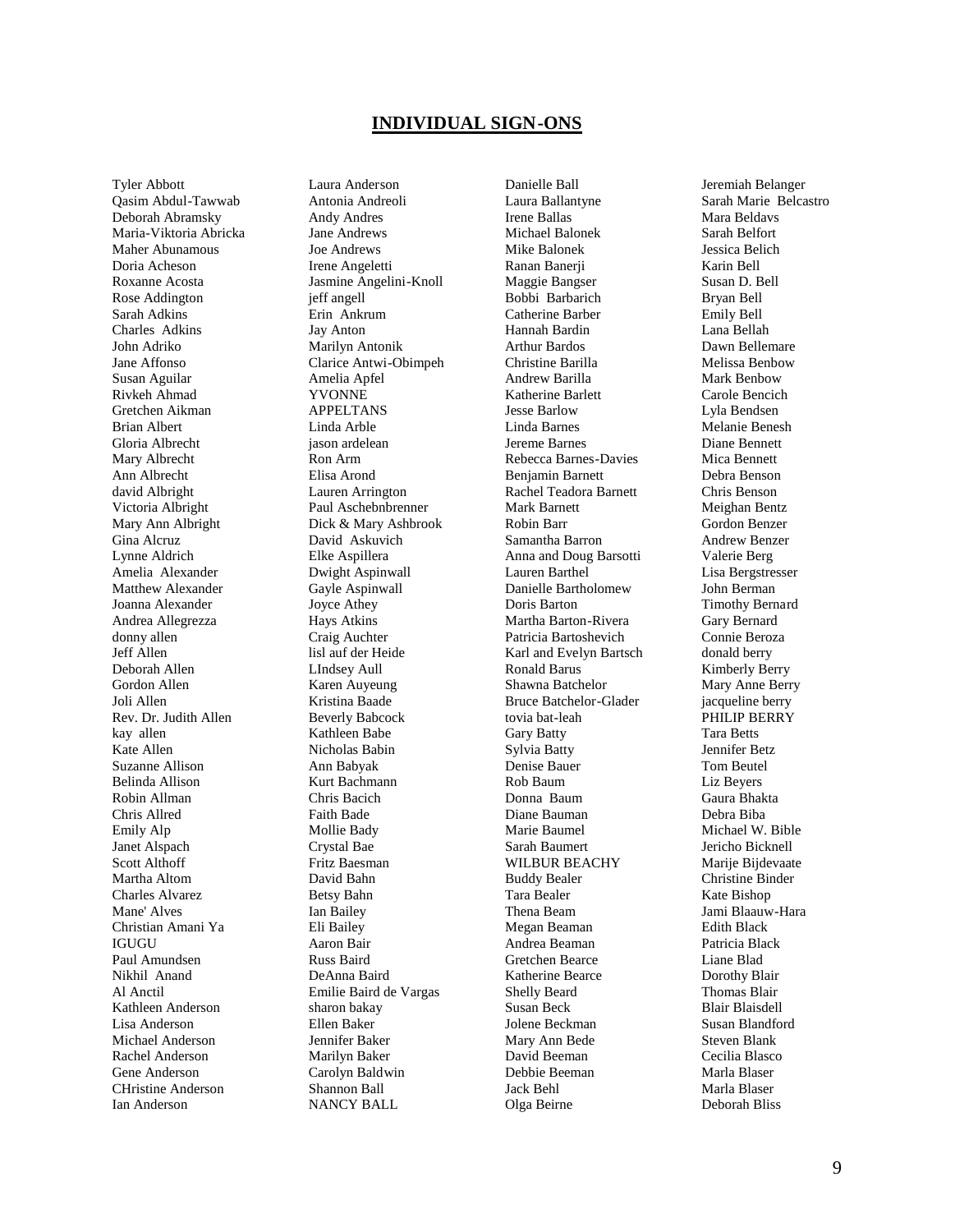#### **INDIVIDUAL SIGN-ONS**

Tyler Abbott Qasim Abdul-Tawwab Deborah Abramsky Maria-Viktoria Abricka Maher Abunamous Doria Acheson Roxanne Acosta Rose Addington Sarah Adkins Charles Adkins John Adriko Jane Affonso Susan Aguilar Rivkeh Ahmad Gretchen Aikman Brian Albert Gloria Albrecht Mary Albrecht Ann Albrecht david Albright Victoria Albright Mary Ann Albright Gina Alcruz Lynne Aldrich Amelia Alexander Matthew Alexander Joanna Alexander Andrea Allegrezza donny allen Jeff Allen Deborah Allen Gordon Allen Joli Allen Rev. Dr. Judith Allen kay allen Kate Allen Suzanne Allison Belinda Allison Robin Allman Chris Allred Emily Alp Janet Alspach Scott Althoff Martha Altom Charles Alvarez Mane' Alves Christian Amani Ya **IGUGU** Paul Amundsen Nikhil Anand Al Anctil Kathleen Anderson Lisa Anderson Michael Anderson Rachel Anderson Gene Anderson CHristine Anderson Ian Anderson

Laura Anderson Antonia Andreoli Andy Andres Jane Andrews Joe Andrews Irene Angeletti Jasmine Angelini-Knoll jeff angell Erin Ankrum Jay Anton Marilyn Antonik Clarice Antwi-Obimpeh Amelia Apfel YVONNE APPELTANS Linda Arble jason ardelean Ron Arm Elisa Arond Lauren Arrington Paul Aschebnbrenner Dick & Mary Ashbrook David Askuvich Elke Aspillera Dwight Aspinwall Gayle Aspinwall Joyce Athey Hays Atkins Craig Auchter lisl auf der Heide LIndsey Aull Karen Auyeung Kristina Baade Beverly Babcock Kathleen Babe Nicholas Babin Ann Babyak Kurt Bachmann Chris Bacich Faith Bade Mollie Bady Crystal Bae Fritz Baesman David Bahn Betsy Bahn Ian Bailey Eli Bailey Aaron Bair Russ Baird DeAnna Baird Emilie Baird de Vargas sharon bakay Ellen Baker Jennifer Baker Marilyn Baker Carolyn Baldwin Shannon Ball NANCY BALL

Danielle Ball Laura Ballantyne Irene Ballas Michael Balonek Mike Balonek Ranan Banerji Maggie Bangser Bobbi Barbarich Catherine Barber Hannah Bardin Arthur Bardos Christine Barilla Andrew Barilla Katherine Barlett Jesse Barlow Linda Barnes Jereme Barnes Rebecca Barnes-Davies Benjamin Barnett Rachel Teadora Barnett Mark Barnett Robin Barr Samantha Barron Anna and Doug Barsotti Lauren Barthel Danielle Bartholomew Doris Barton Martha Barton-Rivera Patricia Bartoshevich Karl and Evelyn Bartsch Ronald Barus Shawna Batchelor Bruce Batchelor-Glader tovia bat-leah Gary Batty Sylvia Batty Denise Bauer Rob Baum Donna Baum Diane Bauman Marie Baumel Sarah Baumert WILBUR BEACHY Buddy Bealer Tara Bealer Thena Beam Megan Beaman Andrea Beaman Gretchen Bearce Katherine Bearce Shelly Beard Susan Beck Jolene Beckman Mary Ann Bede David Beeman Debbie Beeman Jack Behl Olga Beirne

Jeremiah Belanger Sarah Marie Belcastro Mara Beldavs Sarah Belfort Jessica Belich Karin Bell Susan D. Bell Bryan Bell Emily Bell Lana Bellah Dawn Bellemare Melissa Benbow Mark Benbow Carole Bencich Lyla Bendsen Melanie Benesh Diane Bennett Mica Bennett Debra Benson Chris Benson Meighan Bentz Gordon Benzer Andrew Benzer Valerie Berg Lisa Bergstresser John Berman Timothy Bernard Gary Bernard Connie Beroza donald berry Kimberly Berry Mary Anne Berry jacqueline berry PHILIP BERRY Tara Betts Jennifer Betz Tom Beutel Liz Beyers Gaura Bhakta Debra Biba Michael W. Bible Jericho Bicknell Marije Bijdevaate Christine Binder Kate Bishop Jami Blaauw-Hara Edith Black Patricia Black Liane Blad Dorothy Blair Thomas Blair Blair Blaisdell Susan Blandford Steven Blank Cecilia Blasco Marla Blaser Marla Blaser Deborah Bliss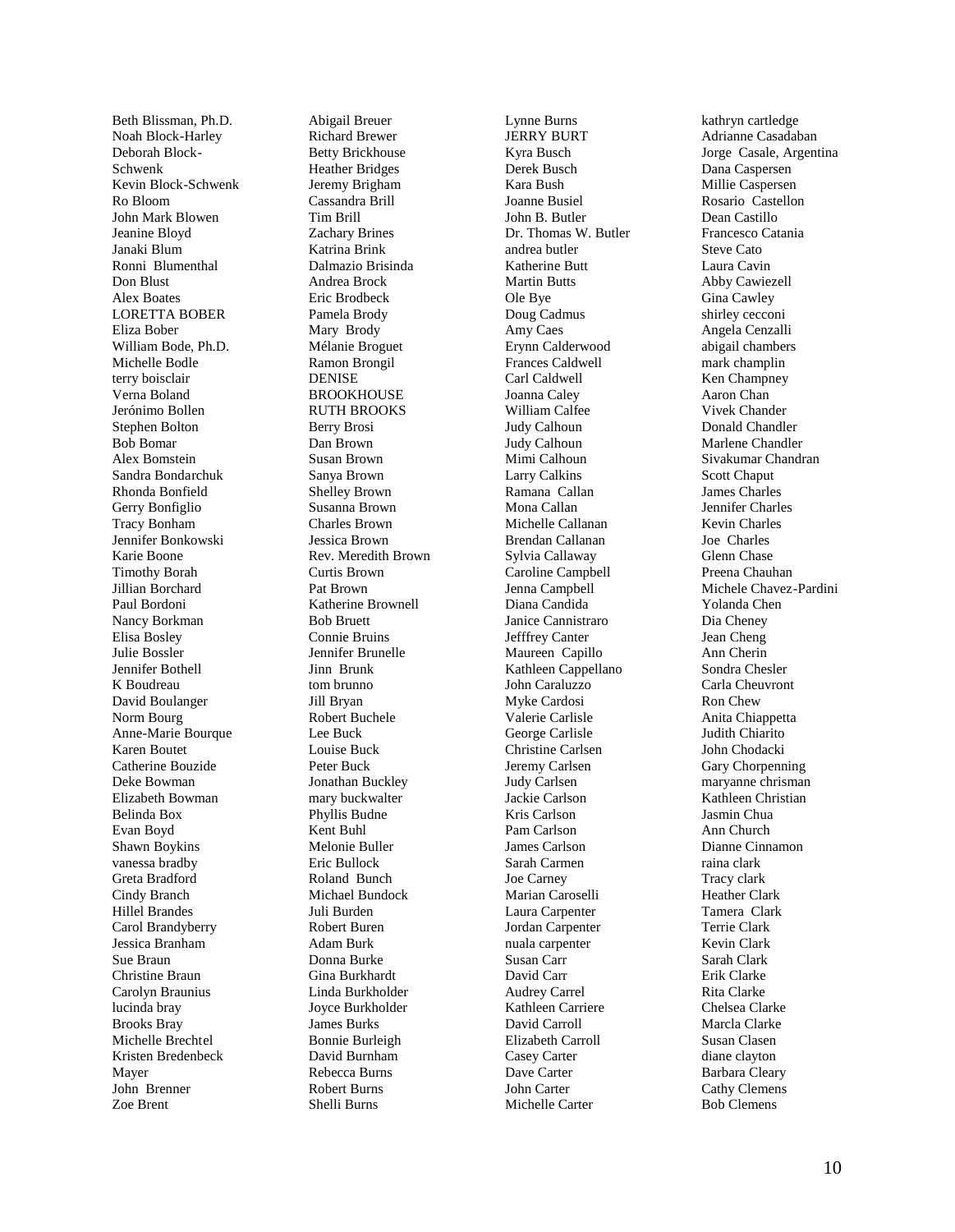Beth Blissman, Ph.D. Noah Block -Harley Deborah Block - Schwenk Kevin Block - Schwenk Ro Bloom John Mark Blowen Jeanine Bloyd Janaki Blum Ronni Blumenthal Don Blust Alex Boates LORETTA BOBER Eliza Bober William Bode, Ph.D. Michelle Bodle terry boisclair Verna Boland Jerónimo Bollen Stephen Bolton Bob Bomar Alex Bomstein Sandra Bondarchuk Rhonda Bonfield Gerry Bonfiglio Tracy Bonham Jennifer Bonkowski Karie Boone Timothy Borah Jillian Borchard Paul Bordoni Nancy Borkman Elisa Bosley Julie Bossler Jennifer Bothell K Boudreau David Boulanger Norm Bourg Anne -Marie Bourque Karen Boutet Catherine Bouzide Deke Bowman Elizabeth Bowman Belinda Box Evan Boyd Shawn Boykins vanessa bradby Greta Bradford Cindy Branch Hillel Brandes Carol Brandyberry Jessica Branham Sue Braun Christine Braun Carolyn Braunius lucinda bray Brooks Bray Michelle Brechtel Kristen Bredenbeck Mayer John Brenner Zoe Brent

Abigail Breuer Richard Brewer Betty Brickhouse Heather Bridges Jeremy Brigham Cassandra Brill Tim Brill Zachary Brines Katrina Brink Dalmazio Brisinda Andrea Brock Eric Brodbeck Pamela Brody Mary Brody Mélanie Broguet Ramon Brongil DENISE **BROOKHOUSE** RUTH BROOKS Berry Brosi Dan Brown Susan Brown Sanya Brown Shelley Brown Susanna Brown Charles Brown Jessica Brown Rev. Meredith Brown Curtis Brown Pat Brown Katherine Brownell Bob Bruett Connie Bruins Jennifer Brunelle Jinn Brunk tom brunno Jill Bryan Robert Buchele Lee Buck Louise Buck Peter Buck Jonathan Buckley mary buckwalter Phyllis Budne Kent Buhl Melonie Buller Eric Bullock Roland Bunch Michael Bundock Juli Burden Robert Buren Adam Burk Donna Burke Gina Burkhardt Linda Burkholder Joyce Burkholder James Burks Bonnie Burleigh David Burnham Rebecca Burns Robert Burns Shelli Burns

Lynne Burns JERRY BURT Kyra Busch Derek Busch Kara Bush Joanne Busiel John B. Butler Dr. Thomas W. Butler andrea butler Katherine Butt Martin Butts Ole Bye Doug Cadmus Amy Caes Erynn Calderwood Frances Caldwell Carl Caldwell Joanna Caley William Calfee Judy Calhoun Judy Calhoun Mimi Calhoun Larry Calkins Ramana Callan Mona Callan Michelle Callanan Brendan Callanan Sylvia Callaway Caroline Campbell Jenna Campbell Diana Candida Janice Cannistraro Jefffrey Canter Maureen Capillo Kathleen Cappellano John Caraluzzo Myke Cardosi Valerie Carlisle George Carlisle Christine Carlsen Jeremy Carlsen Judy Carlsen Jackie Carlson Kris Carlson Pam Carlson James Carlson Sarah Carmen Joe Carney Marian Caroselli Laura Carpenter Jordan Carpenter nuala carpenter Susan Carr David Carr Audrey Carrel Kathleen Carriere David Carroll Elizabeth Carroll Casey Carter Dave Carter John Carter Michelle Carter

kathryn cartledge Adrianne Casadaban Jorge Casale, Argentina Dana Caspersen Millie Caspersen Rosario Castellon Dean Castillo Francesco Catania Steve Cato Laura Cavin Abby Cawiezell Gina Cawley shirley cecconi Angela Cenzalli abigail chambers mark champlin Ken Champney Aaron Chan Vivek Chander Donald Chandler Marlene Chandler Sivakumar Chandran Scott Chaput James Charles Jennifer Charles Kevin Charles Joe Charles Glenn Chase Preena Chauhan Michele Chavez -Pardini Yolanda Chen Dia Cheney Jean Cheng Ann Cherin Sondra Chesler Carla Cheuvront Ron Chew Anita Chiappetta Judith Chiarito John Chodacki Gary Chorpenning maryanne chrisman Kathleen Christian Jasmin Chua Ann Church Dianne Cinnamon raina clark Tracy clark Heather Clark Tamera Clark Terrie Clark Kevin Clar k Sarah Clark Erik Clarke Rita Clarke Chelsea Clarke Marcla Clarke Susan Clasen diane clayton Barbara Cleary Cathy Clemens Bob Clemens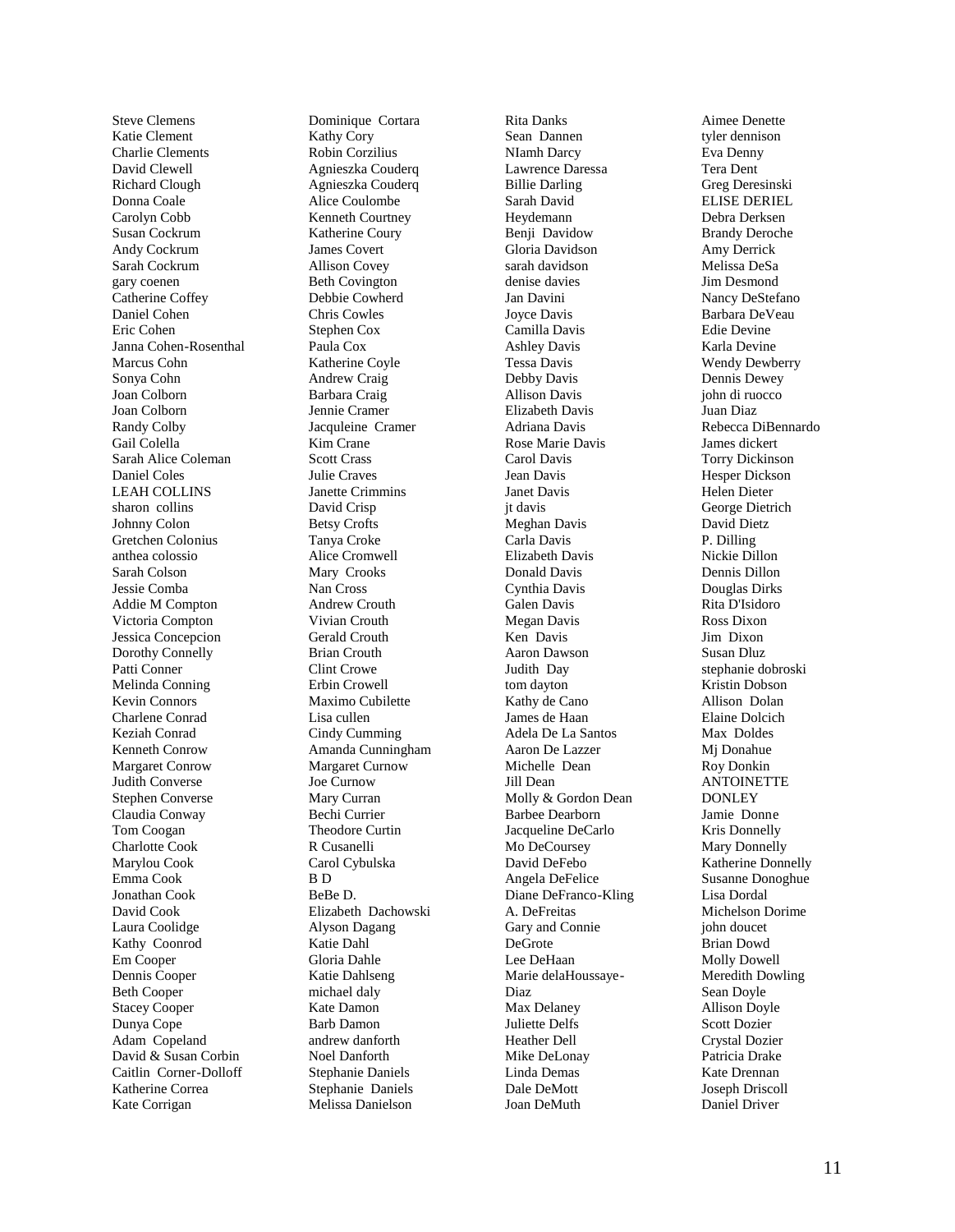Steve Clemens Katie Clement Charlie Clements David Clewell Richard Clough Donna Coale Carolyn Cobb Susan Cockrum Andy Cockrum Sarah Cockrum gary coenen Catherine Coffey Daniel Cohen Eric Cohen Janna Cohen -Rosenthal Marcus Cohn Sonya Cohn Joan Colborn Joan Colborn Randy Colby Gail Colella Sarah Alice Coleman Daniel Coles LEAH COLLINS sharon collins Johnny Colon Gretchen Colonius anthea colossio Sarah Colson Jessie Comba Addie M Compton Victoria Compton Jessica Concepcion Dorothy Connelly Patti Conner Melinda Conning Kevin Connors Charlene Conrad Keziah Conrad Kenneth Conrow Margaret Conrow Judith Converse Stephen Converse Claudia Conway Tom Coogan Charlotte Cook Marylou Cook Emma Cook Jonathan Cook David Cook Laura Coolidge Kathy Coonrod Em Cooper Dennis Cooper Beth Cooper Stacey Cooper Dunya Cope Adam Copeland David & Susan Corbin Caitlin Corner -Dolloff Katherine Correa Kate Corrigan

Dominique Cortara Kathy Cory Robin Corzilius Agnieszka Couderq Agnieszka Couderq Alice Coulombe Kenneth Courtney Katherine Coury James Covert Allison Covey Beth Covington Debbie Cowherd Chris Cowles Stephen Cox Paula Cox Katherine Coyle Andrew Craig Barbara Craig Jennie Cramer Jacquleine Cramer Kim Crane Scott Crass Julie Craves Janette Crimmins David Crisp Betsy Crofts Tanya Croke Alice Cromwell Mary Crooks Nan Cross Andrew Crouth Vivian Crouth Gerald Crouth Brian Crouth Clint Crowe Erbin Crowell Maximo Cubilette Lisa cullen Cindy Cumming Amanda Cunningham Margaret Curnow Joe Curnow Mary Curran Bechi Currier Theodore Curtin R Cusanelli Carol Cybulska B D BeBe D. Elizabeth Dachowski Alyson Dagang Katie Dahl Gloria Dahle Katie Dahlseng michael daly Kate Damon Barb Damon andrew danforth Noel Danforth Stephanie Daniels Stephanie Daniels Melissa Danielson

Rita Danks Sean Dannen NIamh Darcy Lawrence Daressa Billie Darling Sarah David Heydemann Benji Davidow Gloria Davidson sarah davidson denise davies Jan Davini Joyce Davis Camilla Davis Ashley Davis Tessa Davis Debby Davis Allison Davis Elizabeth Davis Adriana Davis Rose Marie Davis Carol Davis Jean Davis Janet Davis jt davis Meghan Davis Carla Davis Elizabeth Davis Donald Davis Cynthia Davis Galen Davis Megan Davis Ken Davis Aaron Dawson Judith Day tom dayton Kathy de Cano James de Haan Adela De La Santos Aaron De Lazzer Michelle Dean Jill Dean Molly & Gordon Dean Barbee Dearborn Jacqueline DeCarlo Mo DeCoursey David DeFebo Angela DeFelice Diane DeFranco-Kling A. DeFreitas Gary and Connie DeGrote Lee DeHaan Marie delaHoussaye - Diaz Max Delaney Juliette Delfs Heather Dell Mike DeLonay Linda Demas Dale DeMott Joan DeMuth

Aimee Denette tyler dennison Eva Denny Tera Dent Greg Deresinski ELISE DERIEL Debra Derksen Brandy Deroche Amy Derrick Melissa DeSa Jim Desmond Nancy DeStefano Barbara DeVeau Edie Devine Karla Devine Wendy Dewberry Dennis Dewey john di ruocco Juan Diaz Rebecca DiBennardo James dickert Torry Dickinson Hesper Dickson Helen Dieter George Dietrich David Dietz P. Dilling Nickie Dillon Dennis Dillon Douglas Dirks Rita D'Isidoro Ross Dixon Jim Dixon Susan Dluz stephanie dobroski Kristin Dobson Allison Dolan Elaine Dolcich Max Doldes Mj Donahue Roy Donkin ANTOINETTE DONLEY Jamie Donn e Kris Donnelly Mary Donnelly Katherine Donnelly Susanne Donoghue Lisa Dordal Michelson Dorime john doucet Brian Dowd Molly Dowell Meredith Dowling Sean Doyle Allison Doyle Scott Dozier Crystal Dozier Patricia Drake Kate Drennan Joseph Driscoll Daniel Driver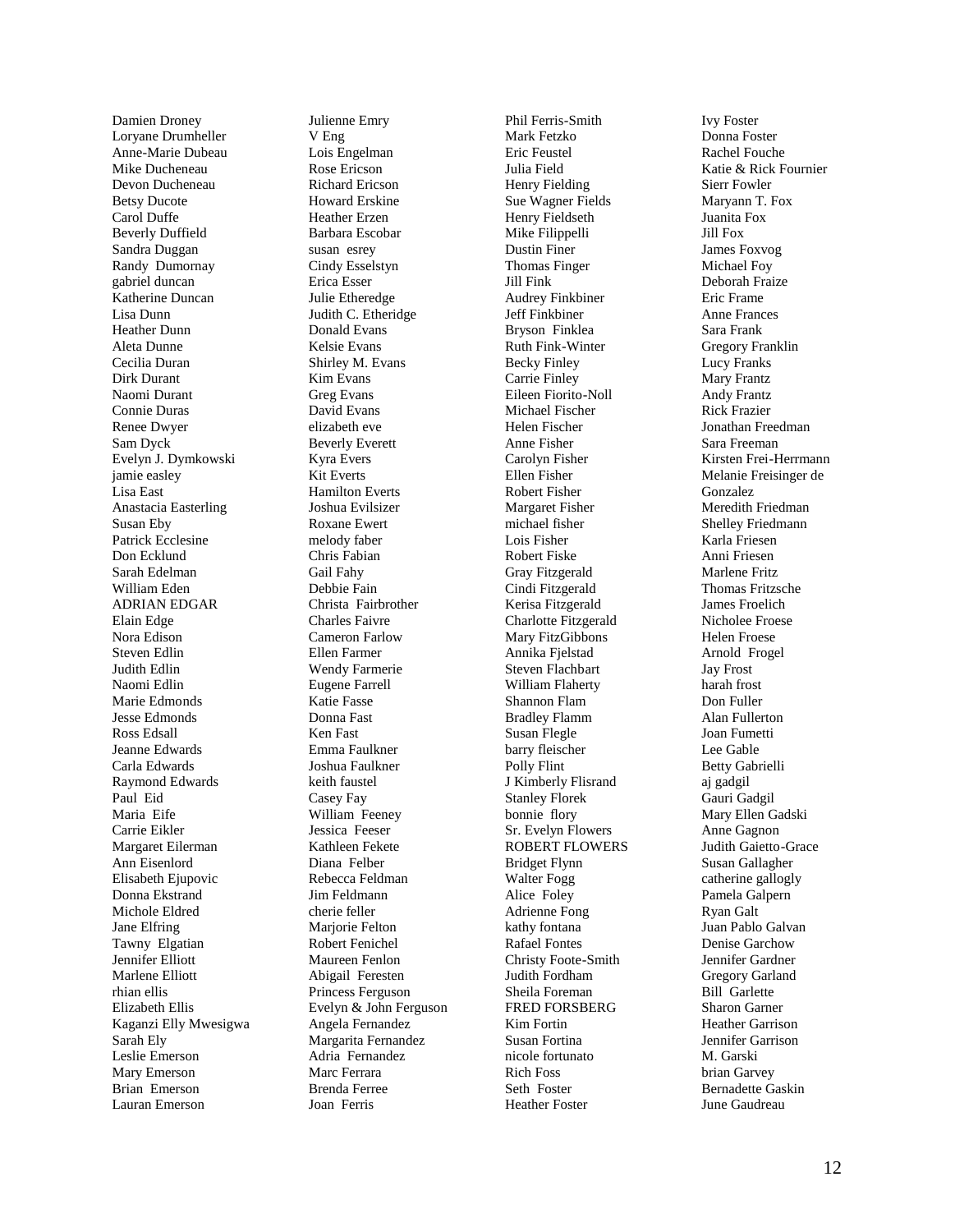Damien Droney Loryane Drumheller Anne-Marie Dubeau Mike Ducheneau Devon Ducheneau Betsy Ducote Carol Duffe Beverly Duffield Sandra Duggan Randy Dumornay gabriel duncan Katherine Duncan Lisa Dunn Heather Dunn Aleta Dunne Cecilia Duran Dirk Durant Naomi Durant Connie Duras Renee Dwyer Sam Dyck Evelyn J. Dymkowski jamie easley Lisa East Anastacia Easterling Susan Eby Patrick Ecclesine Don Ecklund Sarah Edelman William Eden ADRIAN EDGAR Elain Edge Nora Edison Steven Edlin Judith Edlin Naomi Edlin Marie Edmonds Jesse Edmonds Ross Edsall Jeanne Edwards Carla Edwards Raymond Edwards Paul Eid Maria Eife Carrie Eikler Margaret Eilerman Ann Eisenlord Elisabeth Ejupovic Donna Ekstrand Michole Eldred Jane Elfring Tawny Elgatian Jennifer Elliott Marlene Elliott rhian ellis Elizabeth Ellis Kaganzi Elly Mwesigwa Sarah Ely Leslie Emerson Mary Emerson Brian Emerson Lauran Emerson

Julienne Emry V Eng Lois Engelman Rose Ericson Richard Ericson Howard Erskine Heather Erzen Barbara Escobar susan esrey Cindy Esselstyn Erica Esser Julie Etheredge Judith C. Etheridge Donald Evans Kelsie Evans Shirley M. Evans Kim Evans Greg Evans David Evans elizabeth eve Beverly Everett Kyra Evers Kit Everts Hamilton Everts Joshua Evilsizer Roxane Ewert melody faber Chris Fabian Gail Fahy Debbie Fain Christa Fairbrother Charles Faivre Cameron Farlow Ellen Farmer Wendy Farmerie Eugene Farrell Katie Fasse Donna Fast Ken Fast Emma Faulkner Joshua Faulkner keith faustel Casey Fay William Feeney Jessica Feeser Kathleen Fekete Diana Felber Rebecca Feldman Jim Feldmann cherie feller Marjorie Felton Robert Fenichel Maureen Fenlon Abigail Feresten Princess Ferguson Evelyn & John Ferguson Angela Fernandez Margarita Fernandez Adria Fernandez Marc Ferrara Brenda Ferree Joan Ferris

Phil Ferris-Smith Mark Fetzko Eric Feustel Julia Field Henry Fielding Sue Wagner Fields Henry Fieldseth Mike Filippelli Dustin Finer Thomas Finger Jill Fink Audrey Finkbiner Jeff Finkbiner Bryson Finklea Ruth Fink-Winter Becky Finley Carrie Finley Eileen Fiorito-Noll Michael Fischer Helen Fischer Anne Fisher Carolyn Fisher Ellen Fisher Robert Fisher Margaret Fisher michael fisher Lois Fisher Robert Fiske Gray Fitzgerald Cindi Fitzgerald Kerisa Fitzgerald Charlotte Fitzgerald Mary FitzGibbons Annika Fjelstad Steven Flachbart William Flaherty Shannon Flam Bradley Flamm Susan Flegle barry fleischer Polly Flint J Kimberly Flisrand Stanley Florek bonnie flory Sr. Evelyn Flowers ROBERT FLOWERS Bridget Flynn Walter Fogg Alice Foley Adrienne Fong kathy fontana Rafael Fontes Christy Foote-Smith Judith Fordham Sheila Foreman FRED FORSBERG Kim Fortin Susan Fortina nicole fortunato Rich Foss Seth Foster Heather Foster

Ivy Foster Donna Foster Rachel Fouche Katie & Rick Fournier Sierr Fowler Maryann T. Fox Juanita Fox Jill Fox James Foxvog Michael Foy Deborah Fraize Eric Frame Anne Frances Sara Frank Gregory Franklin Lucy Franks Mary Frantz Andy Frantz Rick Frazier Jonathan Freedman Sara Freeman Kirsten Frei-Herrmann Melanie Freisinger de Gonzalez Meredith Friedman Shelley Friedmann Karla Friesen Anni Friesen Marlene Fritz Thomas Fritzsche James Froelich Nicholee Froese Helen Froese Arnold Frogel Jay Frost harah frost Don Fuller Alan Fullerton Joan Fumetti Lee Gable Betty Gabrielli aj gadgil Gauri Gadgil Mary Ellen Gadski Anne Gagnon Judith Gaietto-Grace Susan Gallagher catherine gallogly Pamela Galpern Ryan Galt Juan Pablo Galvan Denise Garchow Jennifer Gardner Gregory Garland Bill Garlette Sharon Garner Heather Garrison Jennifer Garrison M. Garski brian Garvey Bernadette Gaskin June Gaudreau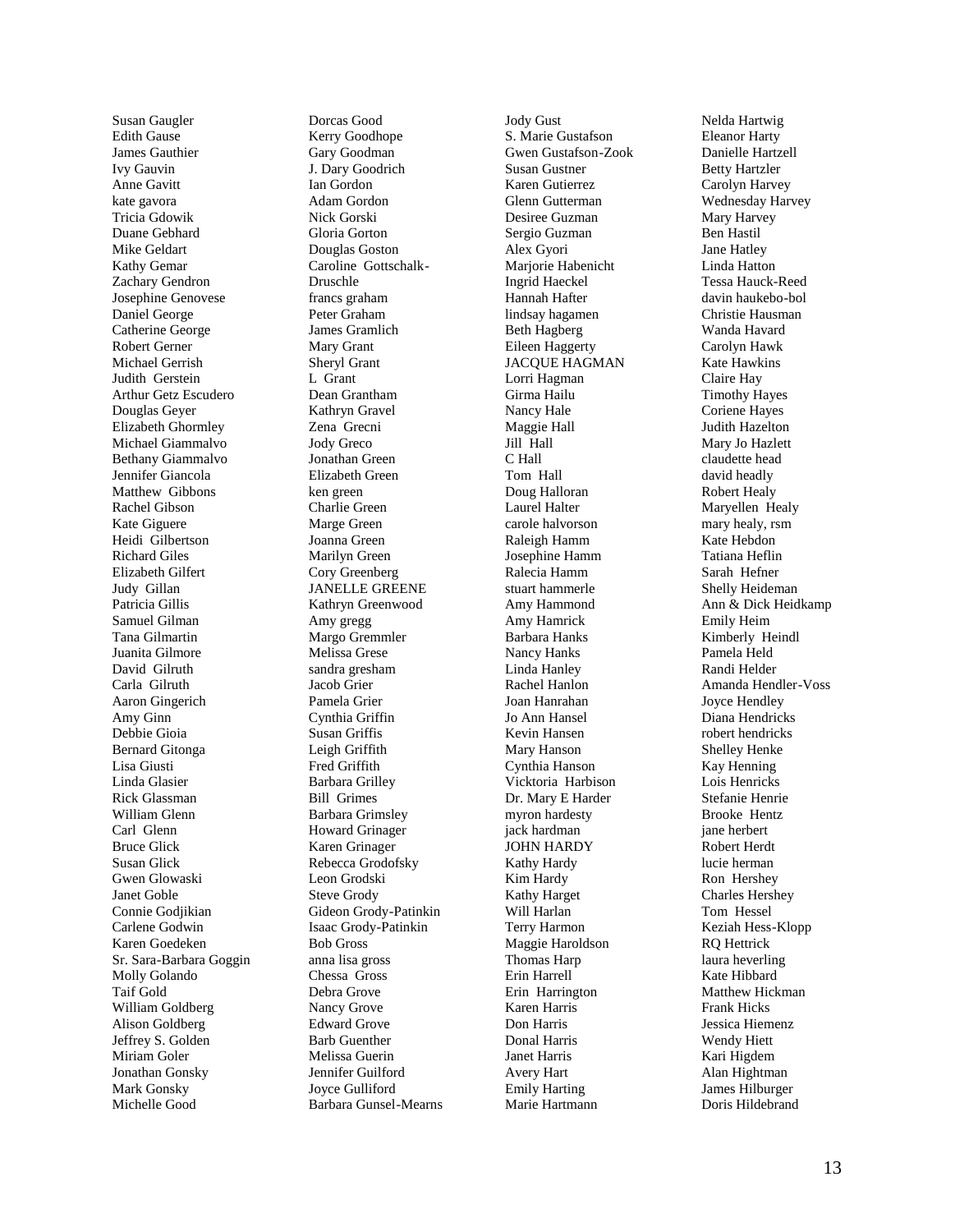Susan Gaugler Edith Gause James Gauthier Ivy Gauvin Anne Gavitt kate gavora Tricia Gdowik Duane Gebhard Mike Geldart Kathy Gemar Zachary Gendron Josephine Genovese Daniel George Catherine George Robert Gerner Michael Gerrish Judith Gerstein Arthur Getz Escudero Douglas Geyer Elizabeth Ghormley Michael Giammalvo Bethany Giammalvo Jennifer Giancola Matthew Gibbons Rachel Gibson Kate Giguere Heidi Gilbertson Richard Giles Elizabeth Gilfert Judy Gillan Patricia Gillis Samuel Gilman Tana Gilmartin Juanita Gilmore David Gilruth Carla Gilruth Aaron Gingerich Amy Ginn Debbie Gioia Bernard Gitonga Lisa Giusti Linda Glasier Rick Glassman William Glenn Carl Glenn Bruce Glick Susan Glick Gwen Glowaski Janet Goble Connie Godjikian Carlene Godwin Karen Goedeken Sr. Sara-Barbara Goggin Molly Golando Taif Gold William Goldberg Alison Goldberg Jeffrey S. Golden Miriam Goler Jonathan Gonsky Mark Gonsky Michelle Good

Dorcas Good Kerry Goodhope Gary Goodman J. Dary Goodrich Ian Gordon Adam Gordon Nick Gorski Gloria Gorton Douglas Goston Caroline Gottschalk-Druschle francs graham Peter Graham James Gramlich Mary Grant Sheryl Grant L Grant Dean Grantham Kathryn Gravel Zena Grecni Jody Greco Jonathan Green Elizabeth Green ken green Charlie Green Marge Green Joanna Green Marilyn Green Cory Greenberg JANELLE GREENE Kathryn Greenwood Amy gregg Margo Gremmler Melissa Grese sandra gresham Jacob Grier Pamela Grier Cynthia Griffin Susan Griffis Leigh Griffith Fred Griffith Barbara Grilley Bill Grimes Barbara Grimsley Howard Grinager Karen Grinager Rebecca Grodofsky Leon Grodski Steve Grody Gideon Grody-Patinkin Isaac Grody-Patinkin Bob Gross anna lisa gross Chessa Gross Debra Grove Nancy Grove Edward Grove Barb Guenther Melissa Guerin Jennifer Guilford Joyce Gulliford Barbara Gunsel-Mearns

Jody Gust S. Marie Gustafson Gwen Gustafson-Zook Susan Gustner Karen Gutierrez Glenn Gutterman Desiree Guzman Sergio Guzman Alex Gyori Marjorie Habenicht Ingrid Haeckel Hannah Hafter lindsay hagamen Beth Hagberg Eileen Haggerty JACQUE HAGMAN Lorri Hagman Girma Hailu Nancy Hale Maggie Hall Jill Hall C Hall Tom Hall Doug Halloran Laurel Halter carole halvorson Raleigh Hamm Josephine Hamm Ralecia Hamm stuart hammerle Amy Hammond Amy Hamrick Barbara Hanks Nancy Hanks Linda Hanley Rachel Hanlon Joan Hanrahan Jo Ann Hansel Kevin Hansen Mary Hanson Cynthia Hanson Vicktoria Harbison Dr. Mary E Harder myron hardesty jack hardman JOHN HARDY Kathy Hardy Kim Hardy Kathy Harget Will Harlan Terry Harmon Maggie Haroldson Thomas Harp Erin Harrell Erin Harrington Karen Harris Don Harris Donal Harris Janet Harris Avery Hart Emily Harting Marie Hartmann

Nelda Hartwig Eleanor Harty Danielle Hartzell Betty Hartzler Carolyn Harvey Wednesday Harvey Mary Harvey Ben Hastil Jane Hatley Linda Hatton Tessa Hauck-Reed davin haukebo-bol Christie Hausman Wanda Havard Carolyn Hawk Kate Hawkins Claire Hay Timothy Hayes Coriene Hayes Judith Hazelton Mary Jo Hazlett claudette head david headly Robert Healy Maryellen Healy mary healy, rsm Kate Hebdon Tatiana Heflin Sarah Hefner Shelly Heideman Ann & Dick Heidkamp Emily Heim Kimberly Heindl Pamela Held Randi Helder Amanda Hendler-Voss Joyce Hendley Diana Hendricks robert hendricks Shelley Henke Kay Henning Lois Henricks Stefanie Henrie Brooke Hentz jane herbert Robert Herdt lucie herman Ron Hershey Charles Hershey Tom Hessel Keziah Hess-Klopp RQ Hettrick laura heverling Kate Hibbard Matthew Hickman Frank Hicks Jessica Hiemenz Wendy Hiett Kari Higdem Alan Hightman James Hilburger Doris Hildebrand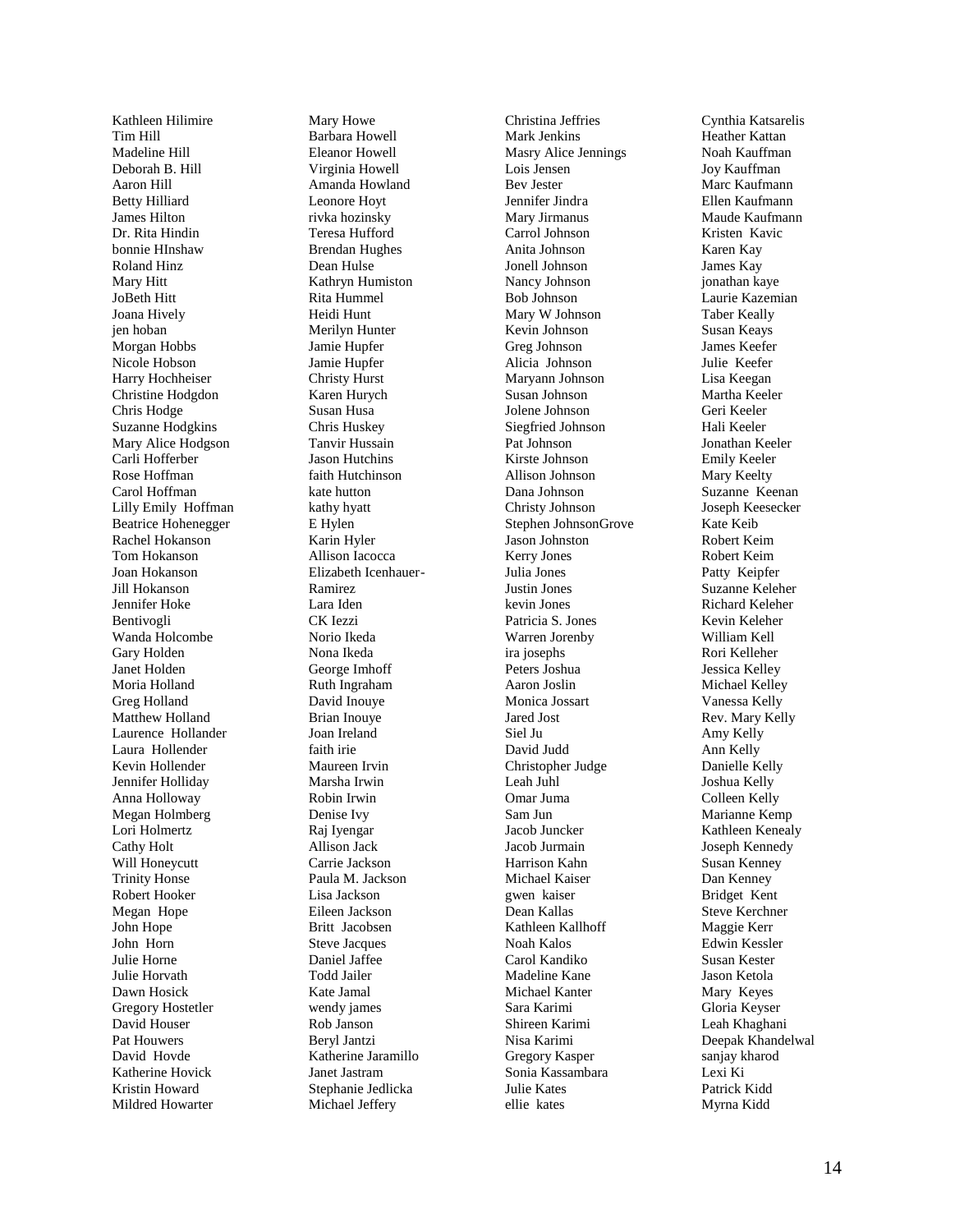Kathleen Hilimire Tim Hill Madeline Hill Deborah B. Hill Aaron Hill Betty Hilliard James Hilton Dr. Rita Hindin bonnie HInshaw Roland Hinz Mary Hitt JoBeth Hitt Joana Hively jen hoban Morgan Hobbs Nicole Hobson Harry Hochheiser Christine Hodgdon Chris Hodge Suzanne Hodgkins Mary Alice Hodgson Carli Hofferber Rose Hoffman Carol Hoffman Lilly Emily Hoffman Beatrice Hohenegger Rachel Hokanson Tom Hokanson Joan Hokanson Jill Hokanson Jennifer Hoke Bentivogli Wanda Holcombe Gary Holden Janet Holden Moria Holland Greg Holland Matthew Holland Laurence Hollander Laura Hollender Kevin Hollender Jennifer Holliday Anna Holloway Megan Holmberg Lori Holmertz Cathy Holt Will Honeycutt Trinity Honse Robert Hooker Megan Hope John Hope John Horn Julie Horne Julie Horvath Dawn Hosick Gregory Hostetler David Houser Pat Houwers David Hovde Katherine Hovick Kristin Howard Mildred Howarter

Mary Howe Barbara Howell Eleanor Howell Virginia Howell Amanda Howland Leonore Hoyt rivka hozinsky Teresa Hufford Brendan Hughes Dean Hulse Kathryn Humiston Rita Hummel Heidi Hunt Merilyn Hunter Jamie Hupfer Jamie Hupfer Christy Hurst Karen Hurych Susan Husa Chris Huskey Tanvir Hussain Jason Hutchins faith Hutchinson kate hutton kathy hyatt E Hylen Karin Hyler Allison Iacocca Elizabeth Icenhauer - Ramirez Lara Iden CK Iezzi Norio Ikeda Nona Ikeda George Imhoff Ruth Ingraham David Inouye Brian Inouye Joan Ireland faith irie Maureen Irvin Marsha Irwin Robin Irwin Denise Ivy Raj Iyengar Allison Jack Carrie Jackson Paula M. Jackson Lisa Jackson Eileen Jackson Britt Jacobsen Steve Jacques Daniel Jaffee Todd Jailer Kate Jamal wendy james Rob Janson Beryl Jantzi Katherine Jaramillo Janet Jastram Stephanie Jedlicka Michael Jeffery

Christina Jeffries Mark Jenkins Masry Alice Jennings Lois Jensen Bev Jester Jennifer Jindr a Mary Jirmanus Carrol Johnson Anita Johnson Jonell Johnson Nancy Johnson Bob Johnson Mary W Johnson Kevin Johnson Greg Johnson Alicia Johnson Maryann Johnson Susan Johnson Jolene Johnson Siegfried Johnson Pat Johnson Kirste Johnson Allison Johnson Dana Johnson Christy Johnson Stephen JohnsonGrove Jason Johnston Kerry Jones Julia Jones Justin Jones kevin Jones Patricia S. Jones Warren Jorenby ira josephs Peters Joshua Aaron Joslin Monica Jossart Jared Jost Siel Ju David Judd Christopher Judge Leah Juhl Omar Juma Sam Jun Jacob Juncker Jacob Jurmain Harrison Kahn Michael Kaiser gwen kaiser Dean Kallas Kathleen Kallhoff Noah Kalos Carol Kandiko Madeline Kane Michael Kanter Sara Karimi Shireen Karimi Nisa Karimi Gregory Kasper Sonia Kassambara Julie Kates ellie kates

Cynthia Katsarelis Heather Kattan Noah Kauffman Joy Kauffman Marc Kaufmann Ellen Kaufmann Maude Kaufmann Kristen Kavic Karen Kay James Kay jonathan kaye Laurie Kazemian Taber Keally Susan Keays James Keefer Julie Keefer Lisa Keegan Martha Keeler Geri Keeler Hali Keeler Jonathan Keeler Emily Keeler Mary Keelty Suzanne Keenan Joseph Keesecker Kate Keib Robert Keim Robert Keim Patty Keipfer Suzanne Keleher Richard Keleher Kevin Keleher William Kell Rori Kelleher Jessica Kelley Michael Kelley Vanessa Kelly Rev. Mary Kelly Amy Kelly Ann Kelly Danielle Kelly Joshua Kelly Colleen Kelly Marianne Kemp Kathleen Kenealy Joseph Kennedy Susan Kenney Dan Kenney Bridget Kent Steve Kerchner Maggie Kerr Edwin Kessler Susan Kester Jason Ketola Mary Keyes Gloria Keyser Leah Khaghani Deepak Khandelwal sanjay kharod Lexi Ki Patrick Kidd Myrna Kidd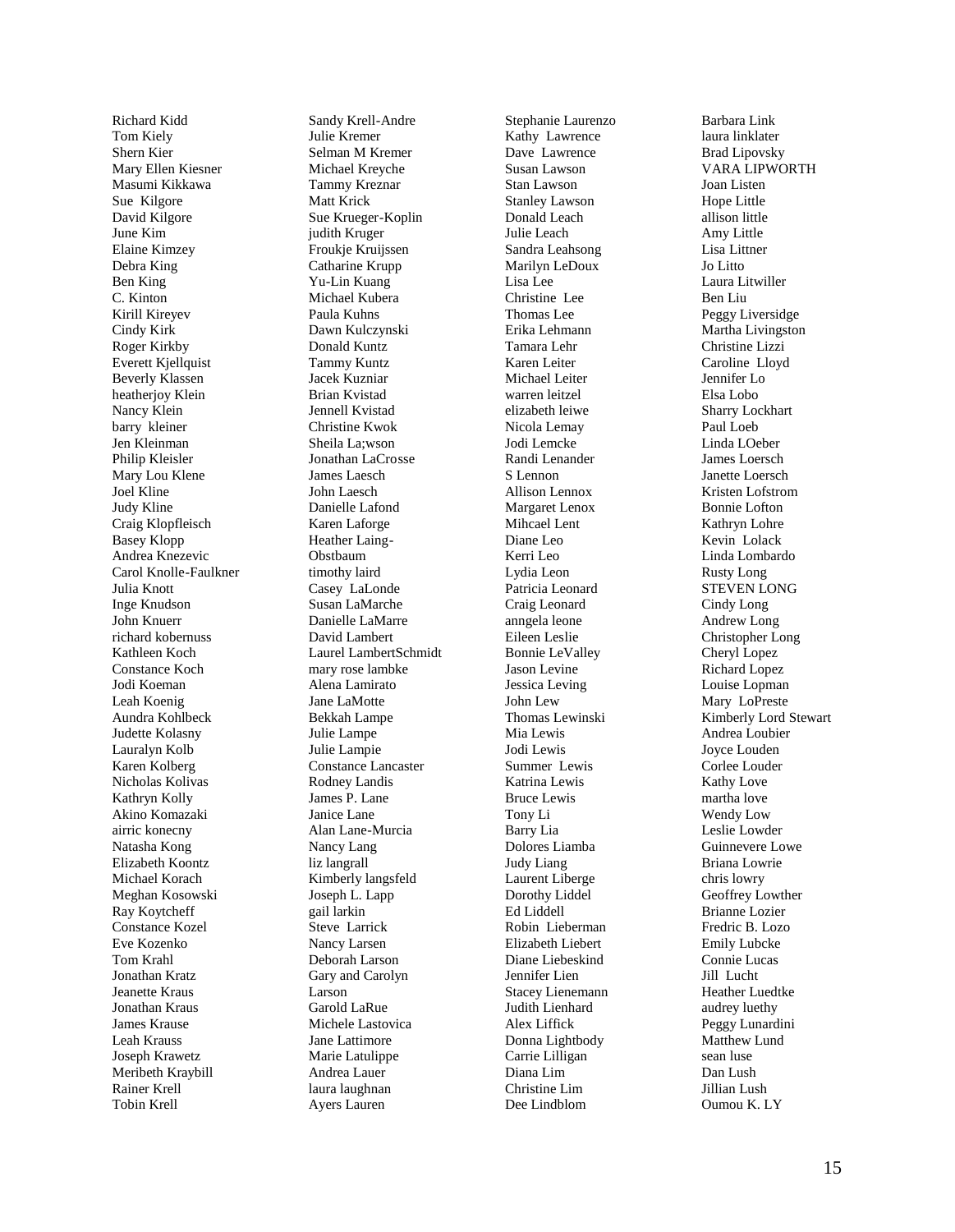Richard Kidd Tom Kiely Shern Kier Mary Ellen Kiesner Masumi Kikkawa Sue Kilgore David Kilgore June Kim Elaine Kimzey Debra King Ben King C. Kinton Kirill Kireyev Cindy Kirk Roger Kirkby Everett Kjellquist Beverly Klassen heatheriov Klein Nancy Klein barry kleiner Jen Kleinman Philip Kleisler Mary Lou Klene Joel Kline Judy Kline Craig Klopfleisch Basey Klopp Andrea Knezevic Carol Knolle -Faulkner Julia Knott Inge Knudson John Knuerr richard kobernuss Kathleen Koch Constance Koch Jodi Koeman Leah Koenig Aundra Kohlbeck Judette Kolasny Lauralyn Kolb Karen Kolberg Nicholas Kolivas Kathryn Kolly Akino Komazaki airric konecny Natasha Kong Elizabeth Koontz Michael Korach Meghan Kosowski Ray Koytcheff Constance Kozel Eve Kozenko Tom Krahl Jonathan Kratz Jeanette Kraus Jonathan Kraus James Krause Leah Krauss Joseph Krawetz Meribeth Kraybill Rainer Krell Tobin Krell

Sandy Krell -Andre Julie Kremer Selman M Kremer Michael Kreyche Tammy Kreznar Matt Krick Sue Krueger -Koplin judith Kruger Froukje Kruijssen Catharine Krupp Yu -Lin Kuang Michael Kubera Paula Kuhns Dawn Kulczynski Donald Kuntz Tammy Kuntz Jacek Kuzniar Brian Kvistad Jennell Kvistad Christine Kwok Sheila La;wson Jonathan LaCrosse James Laesch John Laesch Danielle Lafond Karen Laforge Heather Laing - Obstbaum timothy laird Casey LaLonde Susan LaMarche Danielle LaMarre David Lambert Laurel LambertSchmidt mary rose lambke Alena Lamirato Jane LaMotte Bekkah Lampe Julie Lampe Julie Lampie Constance Lancaster Rodney Landis James P. Lane Janice Lane Alan Lane -Murcia Nancy Lang liz langrall Kimberly langsfeld Joseph L. Lapp gail larkin Steve Larrick Nancy Larsen Deborah Larson Gary and Carolyn Larson Garold LaRue Michele Lastovica Jane Lattimore Marie Latulippe Andrea Lauer laura laughnan Ayers Lauren

Stephanie Laurenzo Kathy Lawrence Dave Lawrence Susan Lawson Stan Lawson Stanley Lawson Donald Leach Julie Leach Sandra Leahsong Marilyn LeDoux Lisa Lee Christine Lee Thomas Lee Erika Lehmann Tamara Lehr Karen Leiter Michael Leiter warren leitzel elizabeth leiwe Nicola Lemay Jodi Lemcke Randi Lenander S Lennon Allison Lennox Margaret Lenox Mihcael Lent Diane Leo Kerri Leo Lydia Leon Patricia Leonard Craig Leonard anngela leone Eileen Leslie Bonnie LeValley Jason Levine Jessica Leving John Lew Thomas Lewinski Mia Lewis Jodi Lewis Summer Lewis Katrina Lewis Bruce Lewis Tony Li Barry Lia Dolores Liamba Judy Liang Laurent Liberge Dorothy Liddel Ed Liddell Robin Lieberman Elizabeth Liebert Diane Liebeskind Jennifer Lien Stacey Lienemann Judith Lienhard Alex Liffick Donna Lightbody Carrie Lilligan Diana Lim Christine Lim Dee Lindblom

Barbara Link laura linklater Brad Lipovsky VARA LIPWORTH Joan Listen Hope Little allison little Amy Little Lisa Littner Jo Litto Laura Litwiller Ben Liu Peggy Liversidge Martha Livingston Christine Lizzi Caroline Lloyd Jennifer Lo Elsa Lobo Sharry Lockhart Paul Loeb Linda LOeber James Loersch Janette Loersch Kristen Lofstrom Bonnie Lofton Kathryn Lohre Kevin Lolack Linda Lombardo Rusty Long STEVEN LONG Cindy Long Andrew Long Christopher Long Cheryl Lopez Richard Lopez Louise Lopman Mary LoPreste Kimberly Lord Stewart Andrea Loubier Joyce Louden Corlee Louder Kathy Love martha love Wendy Low Leslie Lowder Guinnevere Lowe Briana Lowrie chris lowry Geoffrey Lowther Brianne Lozier Fredric B. Lozo Emily Lubcke Connie Lucas Jill Lucht Heather Luedtke audrey luethy Peggy Lunardini Matthew Lund sean luse Dan Lush Jillian Lush Oumou K. LY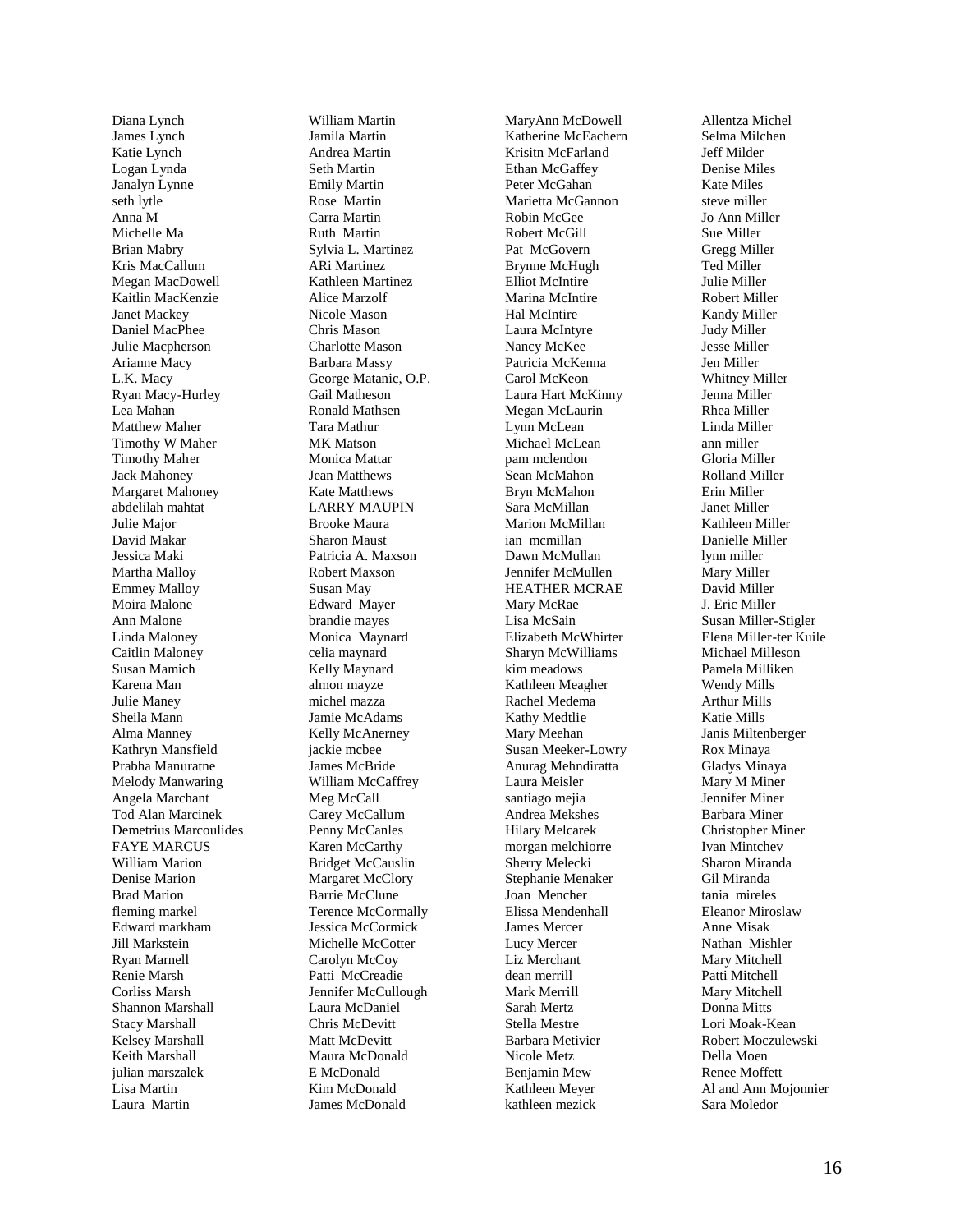Diana Lynch James Lynch Katie Lynch Logan Lynda Janalyn Lynne seth lytle Anna M Michelle Ma Brian Mabry Kris MacCallum Megan MacDowell Kaitlin MacKenzie Janet Mackey Daniel MacPhee Julie Macpherson Arianne Macy L.K. Macy Ryan Macy -Hurley Lea Mahan Matthew Maher Timothy W Maher Timothy Maher Jack Mahoney Margaret Mahoney abdelilah mahtat Julie Major David Makar Jessica Maki Martha Malloy Emmey Malloy Moira Malone Ann Malone Linda Maloney Caitlin Maloney Susan Mamich Karena Man Julie Maney Sheila Mann Alma Manney Kathryn Mansfield Prabha Manuratne Melody Manwaring Angela Marchant Tod Alan Marcinek Demetrius Marcoulides FAYE MARCUS William Marion Denise Marion Brad Marion fleming markel Edward markham Jill Markstein Ryan Marnell Renie Marsh Corliss Marsh Shannon Marshall Stacy Marshall Kelsey Marshall Keith Marshall julian marszalek Lisa Martin Laura Martin

William Martin Jamila Martin Andrea Martin Seth Martin Emily Martin Rose Martin Carra Martin Ruth Martin Sylvia L. Martinez ARi Martinez Kathleen Martinez Alice Marzolf Nicole Mason Chris Mason Charlotte Mason Barbara Massy George Matanic, O.P. Gail Matheson Ronald Mathsen Tara Mathur MK Matson Monica Mattar Jean Matthews Kate Matthews LARRY MAUPIN Brooke Maura Sharon Maust Patricia A. Maxson Robert Maxson Susan May Edward Mayer brandie mayes Monica Maynard celia maynard Kelly Maynard almon mayze michel mazza Jamie McAdams Kelly McAnerney jackie mcbee James McBride William McCaffrey Meg McCall Carey McCallum Penny McCanles Karen McCarthy Bridget McCauslin Margaret McClory Barrie McClune Terence McCormally Jessica McCormick Michelle McCotter Carolyn McCoy Patti McCreadie Jennifer McCullough Laura McDaniel Chris McDevitt Matt McDevitt Maura McDonald E McDonald Kim McDonald James McDonald

MaryAnn McDowell Katherine McEachern Krisitn McFarlan d Ethan McGaffey Peter McGahan Marietta McGannon Robin McGee Robert McGill Pat McGovern Brynne McHugh Elliot McIntire Marina McIntire Hal McIntire Laura McIntyre Nancy McKee Patricia McKenna Carol McKeon Laura Hart McKinny Megan McLaurin Lynn McLean Michael McLean pam mclendon Sean McMahon Bryn McMahon Sara McMillan Marion McMillan ian mcmillan Dawn McMullan Jennifer McMullen HEATHER MCRAE Mary McRae Lisa McSain Elizabeth McWhirter Sharyn McWilliams kim meadows Kathleen Meagher Rachel Medema Kathy Medtli e Mary Meehan Susan Meeker -Lowry Anurag Mehndiratta Laura Meisler santiago mejia Andrea Mekshes Hilary Melcarek morgan melchiorre Sherry Melecki Stephanie Menaker Joan Mencher Elissa Mendenhall James Mercer Lucy Mercer Liz Merchant dean merrill Mark Merrill Sarah Mertz Stella Mestre Barbara Metivier Nicole Metz Benjamin Mew Kathleen Meyer kathleen mezick

Allentza Michel Selma Milchen Jeff Milder Denise Miles Kate Miles steve miller Jo Ann Miller Sue Miller Gregg Miller Ted Miller Julie Miller Robert Miller Kandy Miller Judy Miller Jesse Miller Jen Miller Whitney Miller Jenna Miller Rhea Miller Linda Miller ann miller Gloria Miller Rolland Miller Erin Miller Janet Miller Kathleen Miller Danielle Miller lynn miller Mary Miller David Miller J. Eric Miller Susan Miller -Stigler Elena Miller -ter Kuile Michael Milleson Pamela Milliken Wendy Mills Arthur Mills Katie Mills Janis Miltenberger Rox Minaya Gladys Minaya Mary M Miner Jennifer Miner Barbara Miner Christopher Miner Ivan Mintchev Sharon Miranda Gil Miranda tania mireles Eleanor Miroslaw Anne Misak Nathan Mishler Mary Mitchell Patti Mitchell Mary Mitchell Donna Mitts Lori Moak -Kean Robert Moczulewski Della Moen Renee Moffett Al and Ann Mojonnier Sara Moledor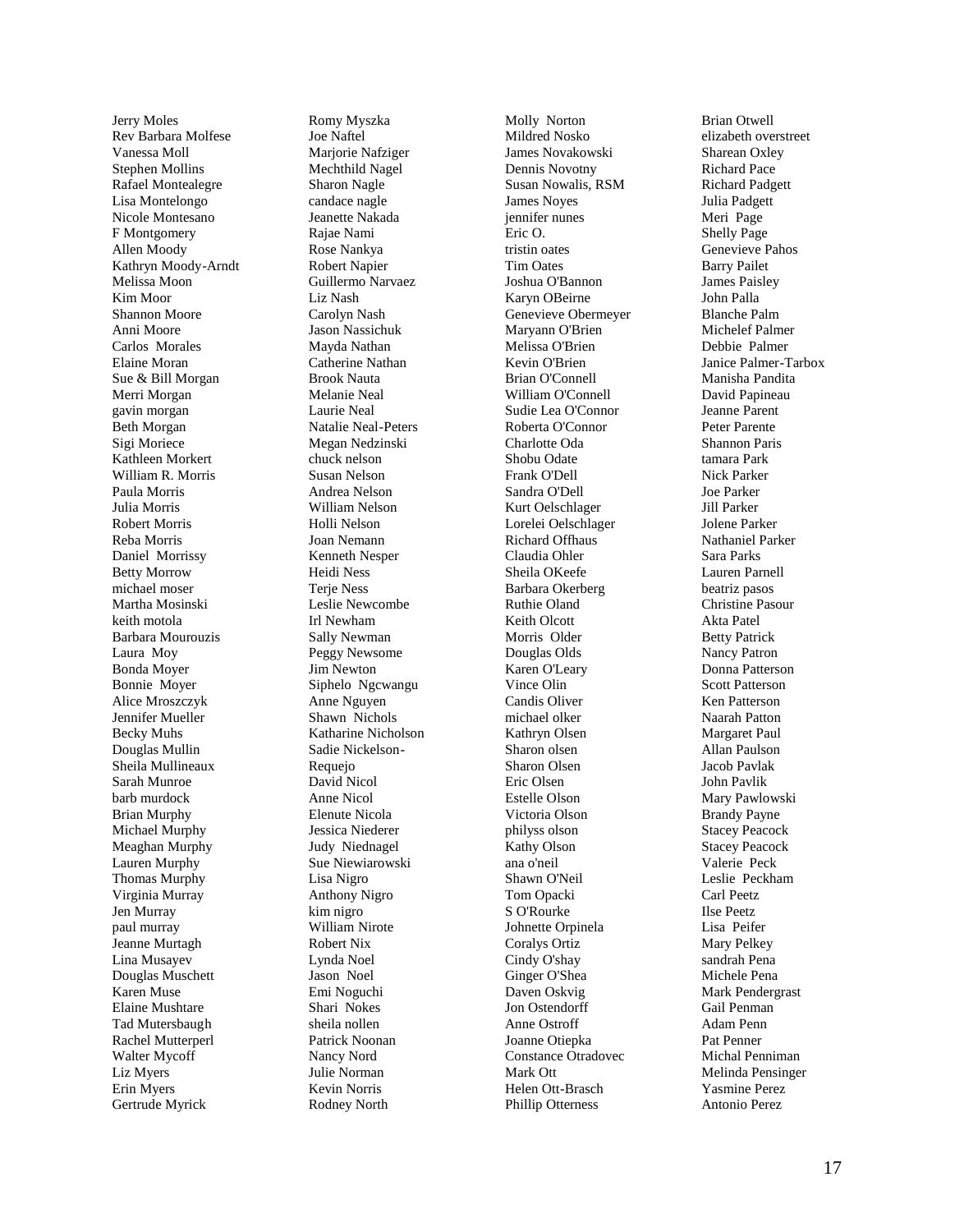Jerry Moles Rev Barbara Molfese Vanessa Moll Stephen Mollins Rafael Montealegre Lisa Montelongo Nicole Montesano F Montgomery Allen Moody Kathryn Moody -Arndt Melissa Moon Kim Moor Shannon Moore Anni Moore Carlos Morales Elaine Moran Sue & Bill Morgan Merri Morgan gavin morgan Beth Morgan Sigi Moriece Kathleen Morkert William R. Morris Paula Morris Julia Morris Robert Morris Reba Morris Daniel Morrissy Betty Morrow michael moser Martha Mosinski keith motola Barbara Mourouzis Laura Moy Bonda Moyer Bonnie Moyer Alice Mroszczyk Jennifer Mueller Becky Muhs Douglas Mullin Sheila Mullineaux Sarah Munroe barb murdock Brian Murphy Michael Murphy Meaghan Murphy Lauren Murphy Thomas Murphy Virginia Murray Jen Murray paul murray Jeanne Murtagh Lina Musayev Douglas Muschett Karen Muse Elaine Mushtare Tad Mutersbaug h Rachel Mutterperl Walter Mycoff Liz Myers Erin Myers Gertrude Myrick

Romy Myszka Joe Naftel Mariorie Nafziger Mechthild Nagel Sharon Nagle candace nagle Jeanette Nakada Rajae Nami Rose Nankya Robert Napier Guillermo Narvaez Liz Nash Carolyn Nash Jason Nassichuk Mayda Nathan Catherine Nathan Brook Nauta Melanie Neal Laurie Neal Natalie Neal -Peters Megan Nedzinski chuck nelson Susan Nelson Andrea Nelson William Nelson Holli Nelson Joan Nemann Kenneth Nesper Heidi Ness Terie Ness Leslie Newcombe Irl Newham Sally Newman Peggy Newsome Jim Newton Siphelo Ngcwangu Anne Nguyen Shawn Nichols Katharine Nicholson Sadie Nickelson - Requejo David Nicol Anne Nicol Elenute Nicola Jessica Niederer Judy Niednagel Sue Niewiarowski Lisa Nigro Anthony Nigro kim nigro William Nirote Robert Nix Lynda Noel Jason Noel Emi Noguchi Shari Nokes sheila nollen Patrick Noonan Nancy Nord Julie Norman Kevin Norris Rodney North

Molly Norton Mildred Nosko James Novakowski Dennis Novotny Susan Nowalis, RSM James Noyes jennifer nunes Eric O. tristin oates Tim Oates Joshua O'Bannon Karyn OBeirne Genevieve Obermeyer Maryann O'Brien Melissa O'Brien Kevin O'Brien Brian O'Connell William O'Connell Sudie Lea O'Connor Roberta O'Connor Charlotte Oda Shobu Odate Frank O'Dell Sandra O'Dell Kurt Oelschlager Lorelei Oelschlager Richard Offhaus Claudia Ohler Sheila OKeefe Barbara Okerberg Ruthie Oland Keith Olcott Morris Older Douglas Olds Karen O'Leary Vince Olin Candis Oliver michael olker Kathryn Olsen Sharon olsen Sharon Olsen Eric Olsen Estelle Olson Victoria Olson philyss olson Kathy Olson ana o'neil Shawn O'Neil Tom Opacki S O'Rourke Johnette Orpinela Coralys Ortiz Cindy O'shay Ginger O'Shea Daven Oskvig Jon Ostendorff Anne Ostroff Joanne Otiepka Constance Otradovec Mark Ott Helen Ott -Brasch Phillip Otterness

Brian Otwell elizabeth overstreet Sharean Oxley Richard Pace Richard Padgett Julia Padgett Meri Page Shelly Page Genevieve Pahos Barry Pailet James Paisley John Palla Blanche Palm Michelef Palmer Debbie Palmer Janice Palmer -Tarbox Manisha Pandita David Papineau Jeanne Parent Peter Parente Shannon Paris tamara Park Nick Parker Joe Parker Jill Parker Jolene Parker Nathaniel Parker Sara Parks Lauren Parnell beatriz pasos Christine Pasour Akta Patel Betty Patrick Nancy Patron Donna Patterson Scott Patterson Ken Patterson Naarah Patton Margaret Paul Allan Paulson Jacob Pavlak John Pavlik Mary Pawlowski Brandy Payne Stacey Peacock Stacey Peacock Valerie Peck Leslie Peckham Carl Peetz Ilse Peetz Lisa Peifer Mary Pelkey sandrah Pena Michele Pena Mark Pendergrast Gail Penman Adam Penn Pat Penner Michal Penniman Melinda Pensinger Yasmine Perez Antonio Perez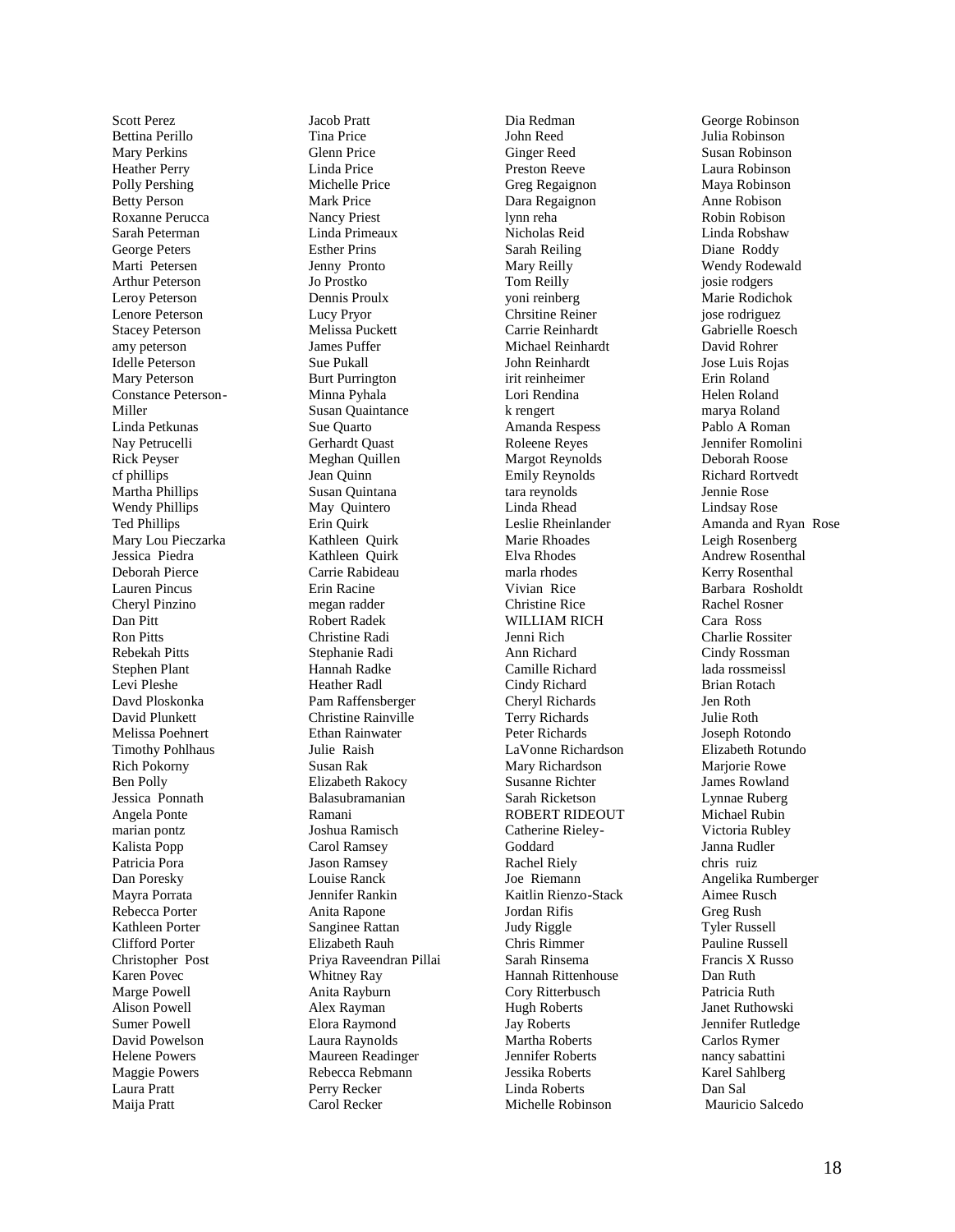Scott Perez Bettina Perillo Mary Perkins Heather Perry Polly Pershing Betty Person Roxanne Perucca Sarah Peterman George Peters Marti Petersen Arthur Peterson Leroy Peterson Lenore Peterson Stacey Peterson amy peterson Idelle Peterson Mary Peterson Constance Peterson - Miller Linda Petkunas Nay Petrucelli Rick Peyser cf phillips Martha Phillips Wendy Phillips Ted Phillips Mary Lou Pieczarka Jessica Piedra Deborah Pierce Lauren Pincus Cheryl Pinzino Dan Pitt Ron Pitts Rebekah Pitts Stephen Plant Levi Pleshe Davd Ploskonka David Plunkett Melissa Poehnert Timothy Pohlhaus Rich Pokorny Ben Polly Jessica Ponnath Angela Ponte marian pontz Kalista Popp Patricia Pora Dan Poresky Mayra Porrata Rebecca Porter Kathleen Porter Clifford Porter Christopher Post Karen Povec Marge Powell Alison Powell Sumer Powell David Powelson Helene Powers Maggie Powers Laura Pratt Maija Pratt

Jacob Pratt Tina Price Glenn Pric e Linda Price Michelle Price Mark Price Nancy Priest Linda Primeaux Esther Prins Jenny Pronto Jo Prostko Dennis Proulx Lucy Pryor Melissa Puckett James Puffer Sue Pukall Burt Purrington Minna Pyhala Susan Quaintance Sue Quarto Gerhardt Quast Meghan Quille n Jean Quinn Susan Quintana May Quintero Erin Quirk Kathleen Quirk Kathleen Quirk Carrie Rabideau Erin Racine megan radder Robert Radek Christine Radi Stephanie Radi Hannah Radke Heather Radl Pam Raffensberger Christine Rainville Ethan Rainwater Julie Raish Susan Rak Elizabeth Rakocy Balasubramanian Ramani Joshua Ramisch Carol Ramsey Jason Ramsey Louise Ranck Jennifer Rankin Anita Rapone Sanginee Rattan Elizabeth Rauh Priya Raveendran Pillai Whitney Ray Anita Rayburn Alex Rayman Elora Raymond Laura Raynolds Maureen Readinger Rebecca Rebmann Perry Recker Carol Recker

Dia Redman John Reed Ginger Reed Preston Reeve Greg Regaignon Dara Regaignon lynn reha Nicholas Reid Sarah Reiling Mary Reilly Tom Reilly yoni reinberg Chrsitine Reiner Carrie Reinhardt Michael Reinhardt John Reinhardt irit reinheimer Lori Rendina k rengert Amanda Respess Roleene Reyes Margot Reynolds Emily Reynolds tara reynolds Linda Rhead Leslie Rheinlander Marie Rhoades Elva Rhodes marla rhodes Vivian Rice Christine Rice WILLIAM RICH Jenni Rich Ann Richard Camille Richard Cindy Richard Cheryl Richards Terry Richards Peter Richards LaVonne Richardson Mary Richardson Susanne Richter Sarah Ricketson ROBERT RIDEOUT Catherine Rieley - Goddard Rachel Riely Joe Riemann Kaitlin Rienzo -Stack Jordan Rifis Judy Riggle Chris Rimmer Sarah Rinsema Hannah Rittenhouse Cory Ritterbusch Hugh Roberts Jay Roberts Martha Roberts Jennifer Roberts Jessika Roberts Linda Roberts Michelle Robinson

George Robinson Julia Robinson Susan Robinson Laura Robinson Maya Robinson Anne Robison Robin Robison Linda Robshaw Diane Roddy Wendy Rodewald josie rodgers Marie Rodichok jose rodriguez .<br>Gabrielle Roesch David Rohrer Jose Luis Rojas Erin Roland Helen Roland marya Roland Pablo A Roman Jennifer Romolini Deborah Roose Richard Rortvedt Jennie Rose Lindsay Rose Amanda and Ryan Rose Leigh Rosenberg Andrew Rosenthal Kerry Rosenthal Barbara Rosholdt Rachel Rosner Cara Ross Charlie Rossiter Cindy Rossman lada rossmeissl Brian Rotach Jen Roth Julie Roth Joseph Rotondo Elizabeth Rotundo Marjorie Rowe James Rowland Lynnae Ruberg Michael Rubin Victoria Rubley Janna Rudler chris ruiz Angelika Rumberger Aimee Rusch Greg Rush Tyler Russell Pauline Russell Francis X Russo Dan Ruth Patricia Ruth Janet Ruthowski Jennifer Rutledge Carlos Rymer nancy sabattini Karel Sahlberg Dan Sal Mauricio Salcedo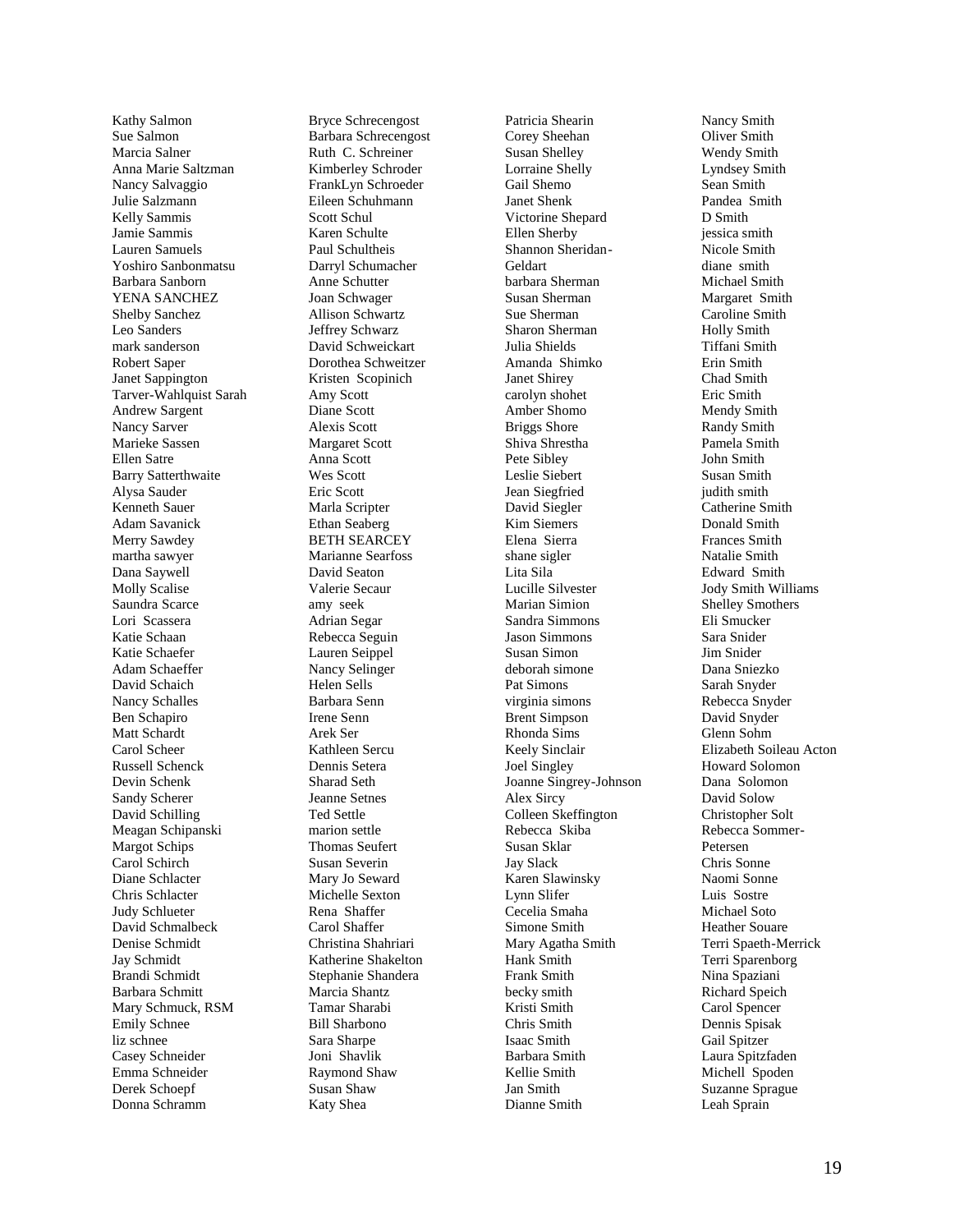Kathy Salmon Sue Salmon Marcia Salner Anna Marie Saltzman Nancy Salvaggio Julie Salzmann Kelly Sammis Jamie Sammis Lauren Samuels Yoshiro Sanbonmatsu Barbara Sanborn YENA SANCHEZ Shelby Sanchez Leo Sanders mark sanderson Robert Saper Janet Sappington Tarver -Wahlquist Sarah Andrew Sargent Nancy Sarver Marieke Sassen Ellen Satre Barry Satterthwaite Alysa Sauder Kenneth Sauer Adam Savanick Merry Sawdey martha sawyer Dana Saywell Molly Scalise Saundra Scarce Lori Scassera Katie Schaan Katie Schaefer Adam Schaeffer David Schaich Nancy Schalles Ben Schapiro Matt Schardt Carol Scheer Russell Schenck Devin Schenk Sandy Scherer David Schilling Meagan Schipanski Margot Schips Carol Schirch Diane Schlacter Chris Schlacter Judy Schlueter David Schmalbeck Denise Schmidt Jay Schmidt Brandi Schmidt Barbara Schmitt Mary Schmuck, RSM Emily Schnee liz schnee Casey Schneider Emma Schneider Derek Schoepf Donna Schramm

Bryce Schrecengost Barbara Schrecengost Ruth C. Schreiner Kimberley Schroder FrankLyn Schroeder Eileen Schuhmann Scott Schul Karen Schulte Paul Schultheis Darryl Schumacher Anne Schutter Joan Schwager Allison Schwartz Jeffrey Schwarz David Schweickart Dorothea Schweitzer Kristen Scopinich Amy Scott Diane Scott Alexis Scott Margaret Scott Anna Scott Wes Scott Eric Scott Marla Scripter Ethan Seaberg BETH SEARCEY Marianne Searfoss David Seaton Valerie Secaur amy seek Adrian Segar Rebecca Seguin Lauren Seippel Nancy Selinger Helen Sells Barbara Senn Irene Senn Arek Ser Kathleen Sercu Dennis Setera Sharad Seth Jeanne Setnes Ted Settle marion settle Thomas Seufert Susan Severin Mary Jo Seward Michelle Sexton Rena Shaffer Carol Shaffer Christina Shahriari Katherine Shakelton Stephanie Shandera Marcia Shantz Tamar Sharabi Bill Sharbono Sara Sharpe Joni Shavlik Raymond Shaw Susan Shaw Katy Shea

Patricia Shearin Corey Sheehan Susan Shelley Lorraine Shelly Gail Shemo Janet Shenk Victorine Shepard Ellen Sherby Shannon Sheridan - Geldart barbara Sherman Susan Sherman Sue Sherman Sharon Sherman Julia Shields Amanda Shimko Janet Shirey carolyn shohet Amber Shomo Briggs Shore Shiva Shrestha Pete Sibley Leslie Siebert Jean Siegfried David Siegler Kim Siemers Elena Sierra shane sigler Lita Sila Lucille Silvester Marian Simion Sandra Simmons Jason Simmons Susan Simon deborah simone Pat Simons virginia simons Brent Simpson Rhonda Sims Keely Sinclair Joel Singley Joanne Singrey -Johnson Alex Sircy Colleen Skeffington Rebecca Skiba Susan Sklar Jay Slack Karen Slawinsky Lynn Slifer Cecelia Smaha Simone Smith Mary Agatha Smith Hank Smith Frank Smith becky smith Kristi Smith Chris Smith Isaac Smith Barbara Smith Kellie Smith Jan Smith Dianne Smith

Nancy Smith Oliver Smith Wendy Smith Lyndsey Smith Sean Smith Pandea Smith D Smith jessica smith Nicole Smith diane smith Michael Smith Margaret Smith Caroline Smith Holly Smith Tiffani Smith Erin Smith Chad Smith Eric Smith Mendy Smith Randy Smith Pamela Smith John Smith Susan Smith judith smith Catherine Smith Donald Smith Frances Smith Natalie Smith Edward Smith Jody Smith Williams Shelley Smothers Eli Smucker Sara Snider Jim Snider Dana Sniezko Sarah Snyder Rebecca Snyder David Snyder Glenn Sohm Elizabeth Soileau Acton Howard Solomon Dana Solomon David Solow Christopher Solt Rebecca Sommer - Petersen Chris Sonne Naomi Sonne Luis Sostre Michael Soto Heather Souare Terri Spaeth -Merrick Terri Sparenborg Nina Spaziani Richard Speich Carol Spencer Dennis Spisak Gail Spitzer Laura Spitzfaden Michell Spoden Suzanne Sprague Leah Sprain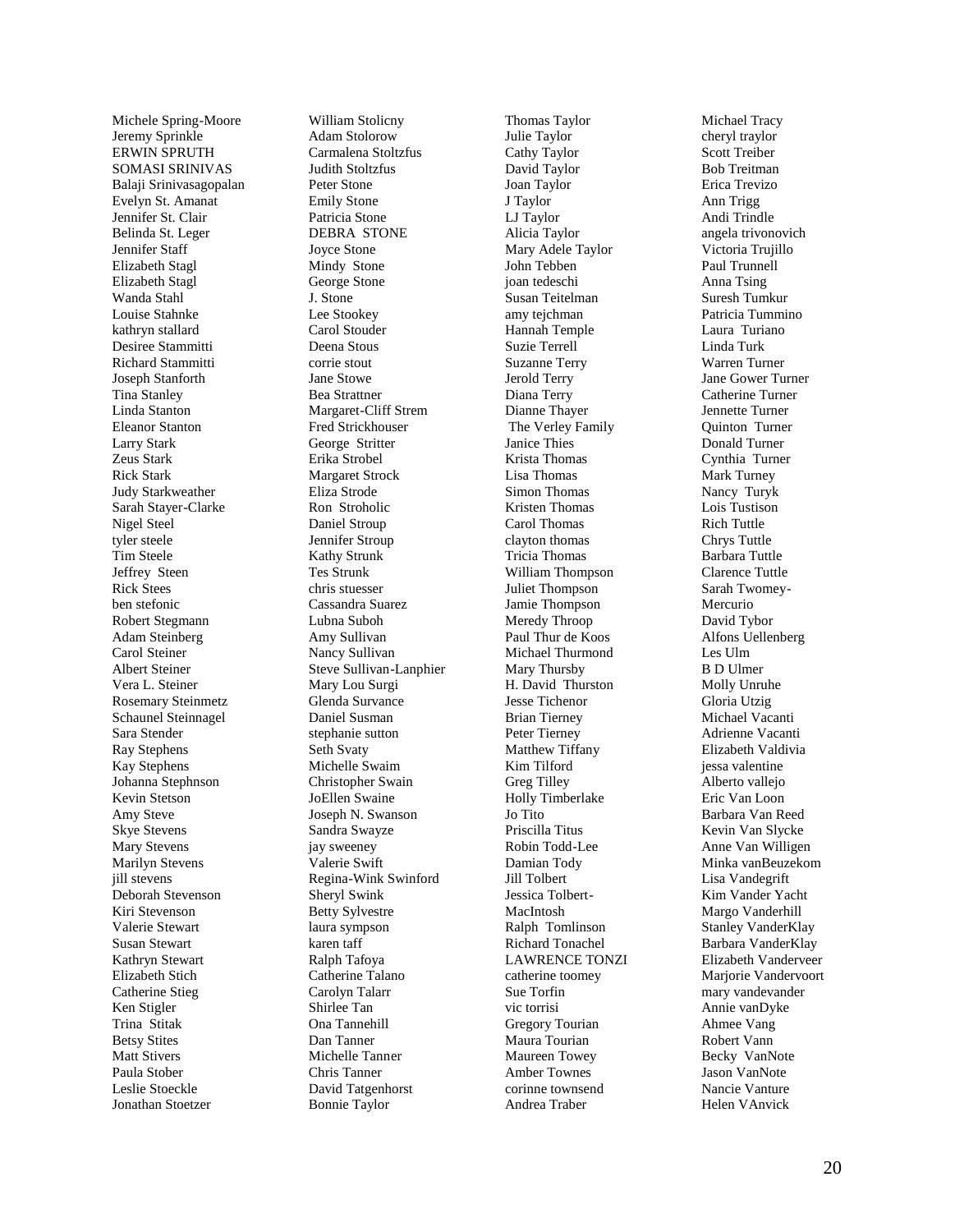Michele Spring -Moore Jeremy Sprinkle ERWIN SPRUTH SOMASI SRINIVAS Balaji Srinivasagopalan Evelyn St. Amanat Jennifer St. Clair Belinda St. Leger Jennifer Staff Elizabeth Stagl Elizabeth Stagl Wanda Stahl Louise Stahnke kathryn stallard Desiree Stammitti Richard Stammitti Joseph Stanforth Tina Stanley Linda Stanton Eleanor Stanton Larry Stark Zeus Stark Rick Stark Judy Starkweather Sarah Stayer -Clarke Nigel Steel tyler steele Tim Steele Jeffrey Steen Rick Stees ben stefonic Robert Stegmann Adam Steinberg Carol Steiner Albert Steiner Vera L. Steiner Rosemary Steinmetz Schaunel Steinnagel Sara Stender Ray Stephens Kay Stephens Johanna Stephnson Kevin Stetson Amy Steve Skye Stevens Mary Stevens Marilyn Stevens jill stevens Deborah Stevenson Kiri Stevenson Valerie Stewart Susan Stewart Kathryn Stewart Elizabeth Stich Catherine Stieg Ken Stigler Trina Stitak Betsy Stites Matt Stivers Paula Stober Leslie Stoeckle Jonathan Stoetzer

William Stolicny Adam Stolorow Carmalena Stoltzfus Judith Stoltzfus Peter Stone Emily Stone Patricia Stone DEBRA STONE Joyce Stone Mindy Stone George Stone J. Stone Lee Stookey Carol Stouder Deena Stous corrie stout Jane Stowe Bea Strattner Margaret -Cliff Strem Fred Strickhouser George Stritter Erika Strobel Margaret Strock Eliza Strode Ron Stroholic Daniel Stroup Jennifer Stroup Kathy Strunk Tes Strunk chris stuesser Cassandra Suarez Lubna Suboh Amy Sullivan Nancy Sullivan Steve Sullivan -Lanphier Mary Lou Surgi Glenda Survance Daniel Susman stephanie sutton Seth Svaty Michelle Swaim Christopher Swain JoEllen Swaine Joseph N. Swanson Sandra Swayze jay sweeney Valerie Swift Regina -Wink Swinford Sheryl Swink Betty Sylvestre laura sympson karen taff Ralph Tafoya Catherine Talano Carolyn Talarr Shirlee Tan Ona Tannehill Dan Tanner Michelle Tanner Chris Tanner David Tatgenhorst Bonnie Taylor

Thomas Taylor Julie Taylor Cathy Taylor David Taylor Joan Taylor J Taylor LJ Taylor Alicia Taylor Mary Adele Taylor John Tebben joan tedeschi Susan Teitelman amy tejchman Hannah Temple Suzie Terrell Suzanne Terry Jerold Terry Diana Terry Dianne Thayer The Verley Family Janice Thies Krista Thomas Lisa Thomas Simon Thomas Kristen Thomas Carol Thomas clayton thomas Tricia Thomas William Thompson Juliet Thompson Jamie Thompson Meredy Throop Paul Thur de Koos Michael Thurmond Mary Thursby H. David Thurston Jesse Tichenor Brian Tierney Peter Tierney Matthew Tiffany Kim Tilford Greg Tilley Holly Timberlake Jo Tito Priscilla Titus Robin Todd -Lee Damian Tody Jill Tolbert Jessica Tolbert - MacIntosh Ralph Tomlinson Richard Tonachel LAWRENCE TONZI catherine toomey Sue Torfin vic torrisi Gregory Tourian Maura Tourian Maureen Towey Amber Townes corinne townsend Andrea Traber

Michael Tracy cheryl traylor Scott Treiber Bob Treitman Erica Trevizo Ann Trigg Andi Trindle angela trivonovich Victoria Trujillo Paul Trunnell Anna Tsing Suresh Tumkur Patricia Tummino Laura Turiano Linda Turk Warren Turner Jane Gower Turner Catherine Turner Jennette Turner Quinton Turner Donald Turner Cynthia Turner Mark Turney Nancy Turyk Lois Tustison Rich Tuttle Chrys Tuttle Barbara Tuttle Clarence Tuttle Sarah Twomey - Mercurio David Tybor Alfons Uellenberg Les Ulm B D Ulmer Molly Unruhe Gloria Utzig Michael Vacanti Adrienne Vacanti Elizabeth Valdivia jessa valentine Alberto vallejo Eric Van Loon Barbara Van Reed Kevin Van Slycke Anne Van Willigen Minka vanBeuzekom Lisa Vandegrift Kim Vander Yacht Margo Vanderhill Stanley VanderKlay Barbara VanderKlay Elizabeth Vanderveer Marjorie Vandervoort mary vandevander Annie vanDyke Ahmee Vang Robert Vann Becky VanNote Jason VanNote Nancie Vanture Helen VAnvick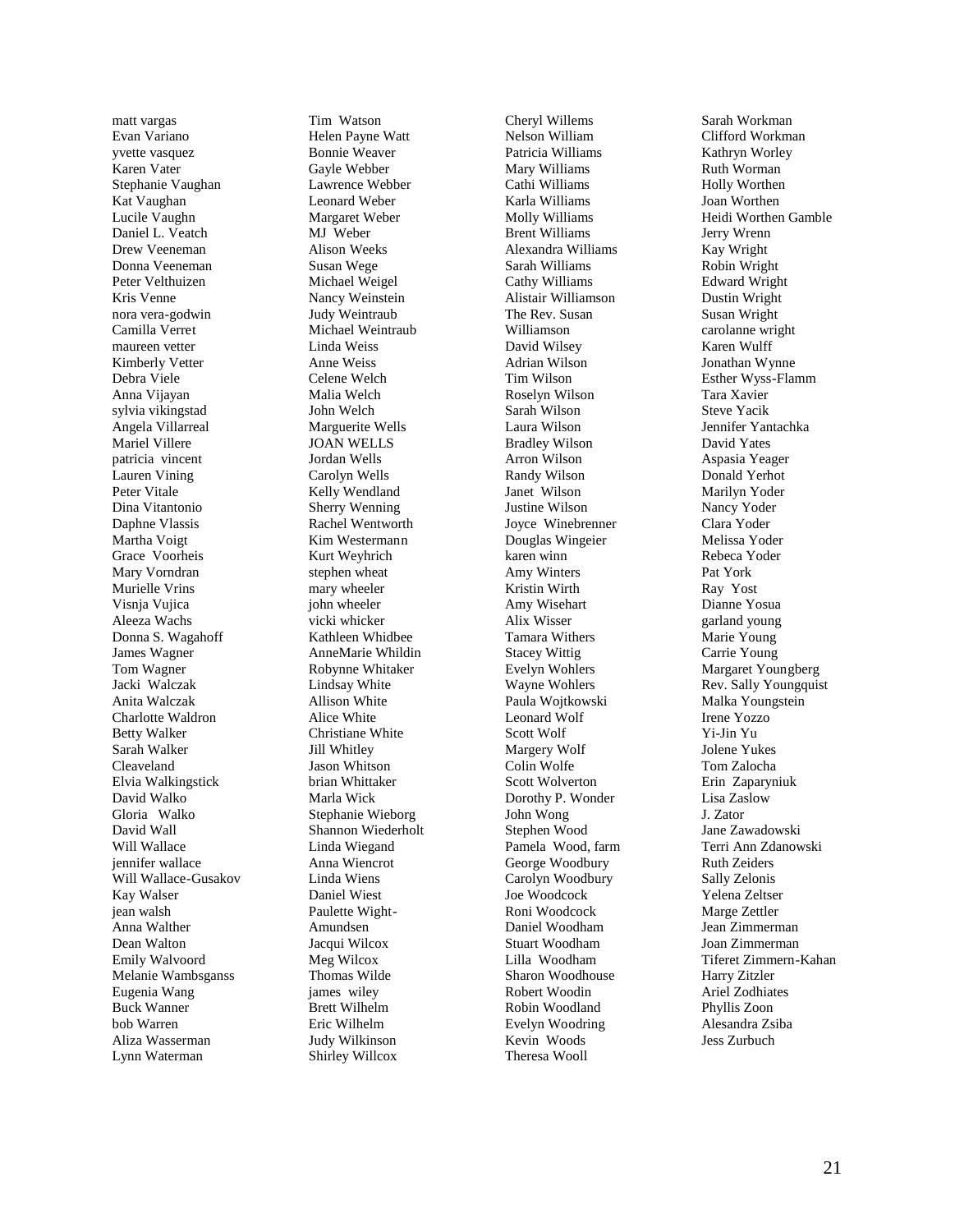matt vargas Evan Variano yvette vasquez Karen Vater Stephanie Vaughan Kat Vaughan Lucile Vaughn Daniel L. Veatch Drew Veeneman Donna Veeneman Peter Velthuizen Kris Venne nora vera -godwin Camilla Verre t maureen vetter Kimberly Vetter Debra Viele Anna Vijayan sylvia vikingstad Angela Villarreal Mariel Villere patricia vincent Lauren Vining Peter Vitale Dina Vitantonio Daphne Vlassis Martha Voigt Grace Voorheis Mary Vorndran Murielle Vrins Visnja Vujica Aleeza Wachs Donna S. Wagahoff James Wagner Tom Wagner Jacki Walczak Anita Walczak Charlotte Waldron Betty Walker Sarah Walker Cleaveland Elvia Walkingstick David Walko Gloria Walko David Wall Will Wallace jennifer wallace Will Wallace -Gusakov Kay Walser jean walsh Anna Walther Dean Walton Emily Walvoord Melanie Wambsganss Eugenia Wang Buck Wanner bob Warren Aliza Wasserman Lynn Waterman

Tim Watson Helen Payne Watt Bonnie Weaver Gayle Webber Lawrence Webber Leonard Weber Margaret Weber MJ Weber Alison Weeks Susan Wege Michael Weigel Nancy Weinstein Judy Weintraub Michael Weintraub Linda Weiss Anne Weiss Celene Welch Malia Welch John Welch Marguerite Wells JOAN WELLS Jordan Wells Carolyn Wells Kelly Wendland Sherry Wenning Rachel Wentworth Kim Westerman n Kurt Weyhrich stephen wheat mary wheeler john wheeler vicki whicker Kathleen Whidbee AnneMarie Whildin Robynne Whitaker Lindsay White Allison White Alice White Christiane White Jill Whitley Jason Whitson brian Whittaker Marla Wick Stephanie Wieborg Shannon Wiederholt Linda Wiegand Anna Wiencrot Linda Wiens Daniel Wiest Paulette Wight - Amundsen Jacqui Wilcox Meg Wilcox Thomas Wilde james wiley Brett Wilhelm Eric Wilhelm Judy Wilkinson Shirley Willcox

Cheryl Willems Nelson William Patricia Williams Mary Williams Cathi Williams Karla Williams Molly Williams Brent Williams Alexandra Williams Sarah Williams Cathy Williams Alistair Williamson The Rev. Susan Williamson David Wilsey Adrian Wilson Tim Wilson Roselyn Wilson Sarah Wilson Laura Wilson Bradley Wilson Arron Wilson Randy Wilson Janet Wilson Justine Wilson Joyce Winebrenner Douglas Wingeier karen winn Amy Winters Kristin Wirth Amy Wisehart Alix Wisser Tamara Withers Stacey Wittig Evelyn Wohlers Wayne Wohlers Paula Wojtkowski Leonard Wolf Scott Wolf Margery Wolf Colin Wolfe Scott Wolverton Dorothy P. Wonder John Wong Stephen Wood Pamela Wood, farm George Woodbury Carolyn Woodbury Joe Woodcock Roni Woodcock Daniel Woodham Stuart Woodham Lilla Woodham Sharon Woodhouse Robert Woodin Robin Woodland Evelyn Woodring Kevin Woods Theresa Wooll

Sarah Workman Clifford Workman Kathryn Worley Ruth Worman Holly Worthen Joan Worthen Heidi Worthen Gamble Jerry Wrenn Kay Wright Robin Wright Edward Wright Dustin Wright Susan Wright carolanne wright Karen Wulff Jonathan Wynne Esther Wyss -Flamm Tara Xavier Steve Yacik Jennifer Yantachka David Yates Aspasia Yeager Donald Yerhot Marilyn Yoder Nancy Yoder Clara Yoder Melissa Yoder Rebeca Yoder Pat York Ray Yost Dianne Yosua garland young Marie Young Carrie Young Margaret Youngberg Rev. Sally Youngquist Malka Youngstein Irene Yozzo Yi -Jin Yu Jolene Yukes Tom Zalocha Erin Zaparyniuk Lisa Zaslow J. Zator Jane Zawadowski Terri Ann Zdanowski Ruth Zeiders Sally Zelonis Yelena Zeltser Marge Zettler Jean Zimmerman Joan Zimmerman Tiferet Zimmern -Kahan Harry Zitzler Ariel Zodhiates Phyllis Zoon Alesandra Zsiba Jess Zurbuch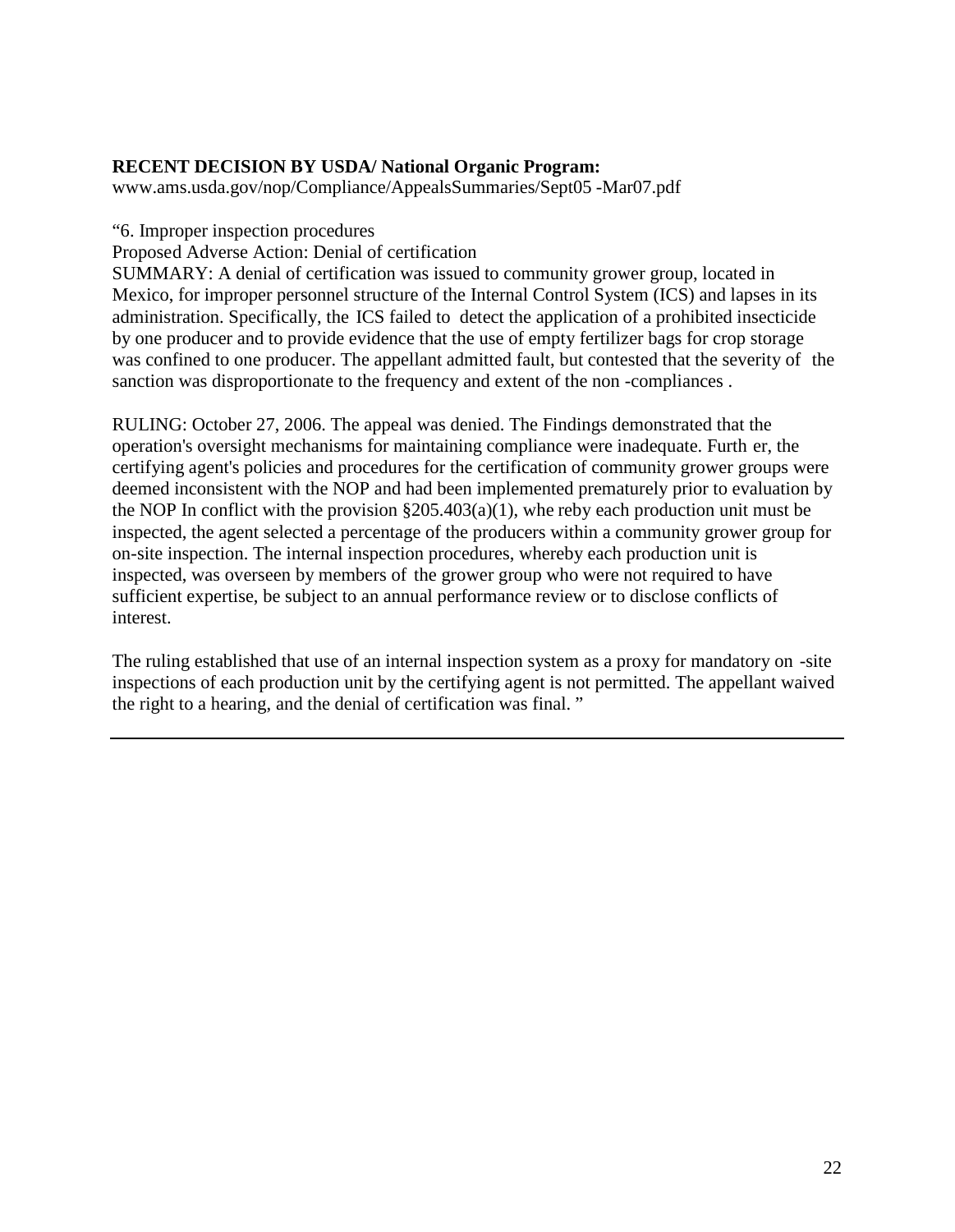# **RECENT DECISION BY USDA/ National Organic Program:**

www.ams.usda.gov/nop/Compliance/AppealsSummaries/Sept05 [-Mar07.pdf](www.ams.usda.gov/nop/Compliance/AppealsSummaries/Sept05-Mar07.pdf)

"6. Improper inspection procedures

Proposed Adverse Action: Denial of certification

SUMMARY: A denial of certification was issued to community grower group, located in Mexico, for improper personnel structure of the Internal Control System (ICS) and lapses in its administration. Specifically, the ICS failed to detect the application of a prohibited insecticide by one producer and to provide evidence that the use of empty fertilizer bags for crop storage was confined to one producer. The appellant admitted fault, but contested that the severity of the sanction was disproportionate to the frequency and extent of the non -compliances .

RULING: October 27, 2006. The appeal was denied. The Findings demonstrated that the operation's oversight mechanisms for maintaining compliance were inadequate. Furth er, the certifying agent's policies and procedures for the certification of community grower groups were deemed inconsistent with the NOP and had been implemented prematurely prior to evaluation by the NOP In conflict with the provision  $\S 205.403(a)(1)$ , whe reby each production unit must be inspected, the agent selected a percentage of the producers within a community grower group for on-site inspection. The internal inspection procedures, whereby each production unit is inspected, was overseen by members of the grower group who were not required to have sufficient expertise, be subject to an annual performance review or to disclose conflicts of interest.

The ruling established that use of an internal inspection system as a proxy for mandatory on -site inspections of each production unit by the certifying agent is not permitted. The appellant waived the right to a hearing, and the denial of certification was final. "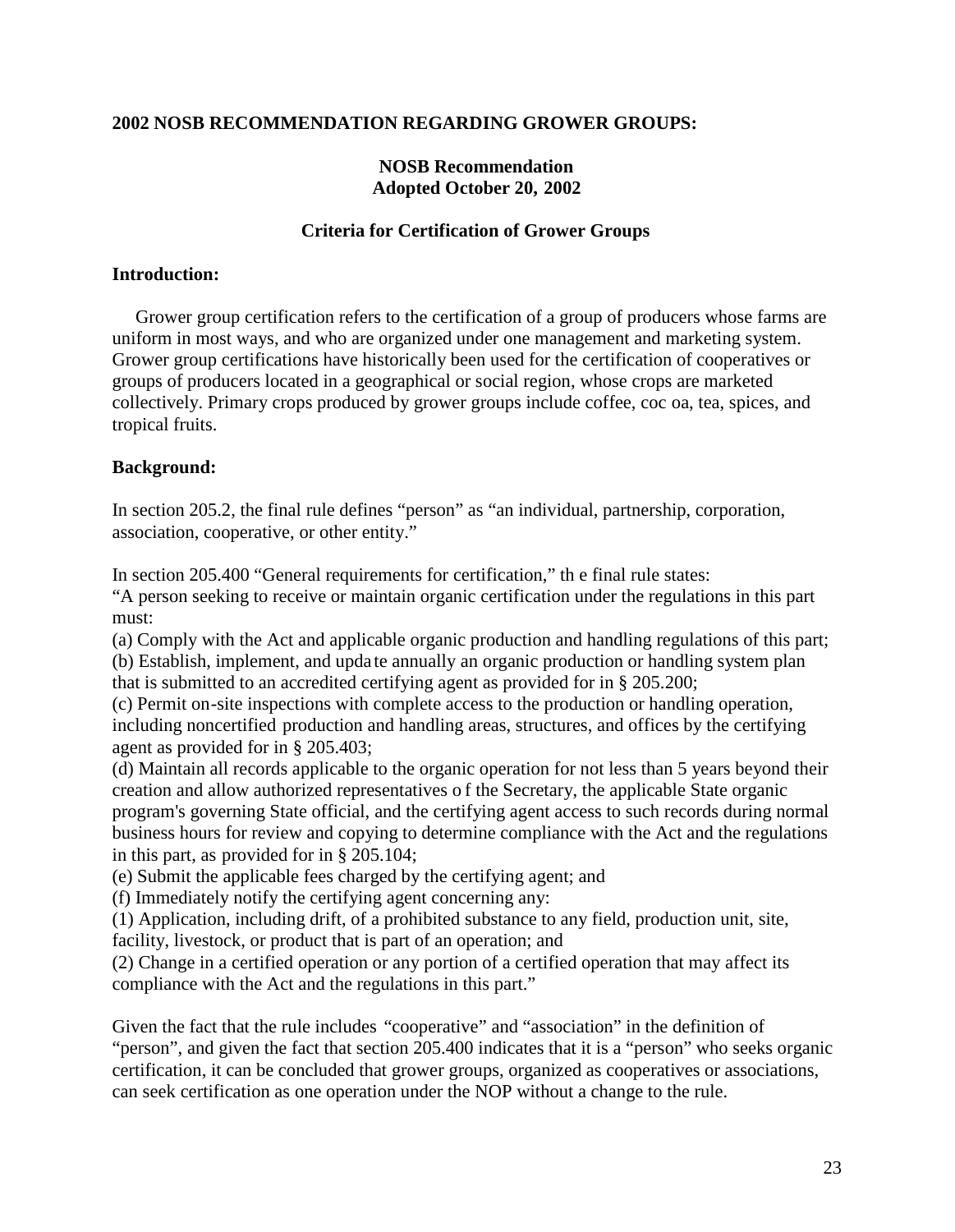#### **2002 NOSB RECOMMENDATION REGARDING GROWER GROUPS:**

#### **NOSB Recommendation Adopted October 20, 2002**

#### **Criteria for Certification of Grower Groups**

#### **Introduction:**

Grower group certification refers to the certification of a group of producers whose farms are uniform in most ways, and who are organized under one management and marketing system. Grower group certifications have historically been used for the certification of cooperatives or groups of producers located in a geographical or social region, whose crops are marketed collectively. Primary crops produced by grower groups include coffee, coc oa, tea, spices, and tropical fruits.

#### **Background:**

In section 205.2, the final rule defines "person" as "an individual, partnership, corporation, association, cooperative, or other entity."

In section 205.400 "General requirements for certification," th e final rule states:

"A person seeking to receive or maintain organic certification under the regulations in this part must:

(a) Comply with the Act and applicable organic production and handling regulations of this part; (b) Establish, implement, and upda te annually an organic production or handling system plan that is submitted to an accredited certifying agent as provided for in § 205.200;

(c) Permit on-site inspections with complete access to the production or handling operation, including noncertified production and handling areas, structures, and offices by the certifying agent as provided for in § 205.403;

(d) Maintain all records applicable to the organic operation for not less than 5 years beyond their creation and allow authorized representatives o f the Secretary, the applicable State organic program's governing State official, and the certifying agent access to such records during normal business hours for review and copying to determine compliance with the Act and the regulations in this part, as provided for in § 205.104;

(e) Submit the applicable fees charged by the certifying agent; and

(f) Immediately notify the certifying agent concerning any:

(1) Application, including drift, of a prohibited substance to any field, production unit, site, facility, livestock, or product that is part of an operation; and

(2) Change in a certified operation or any portion of a certified operation that may affect its compliance with the Act and the regulations in this part."

Given the fact that the rule includes "cooperative" and "association" in the definition of "person", and given the fact that section 205.400 indicates that it is a "person" who seeks organic certification, it can be concluded that grower groups, organized as cooperatives or associations, can seek certification as one operation under the NOP without a change to the rule.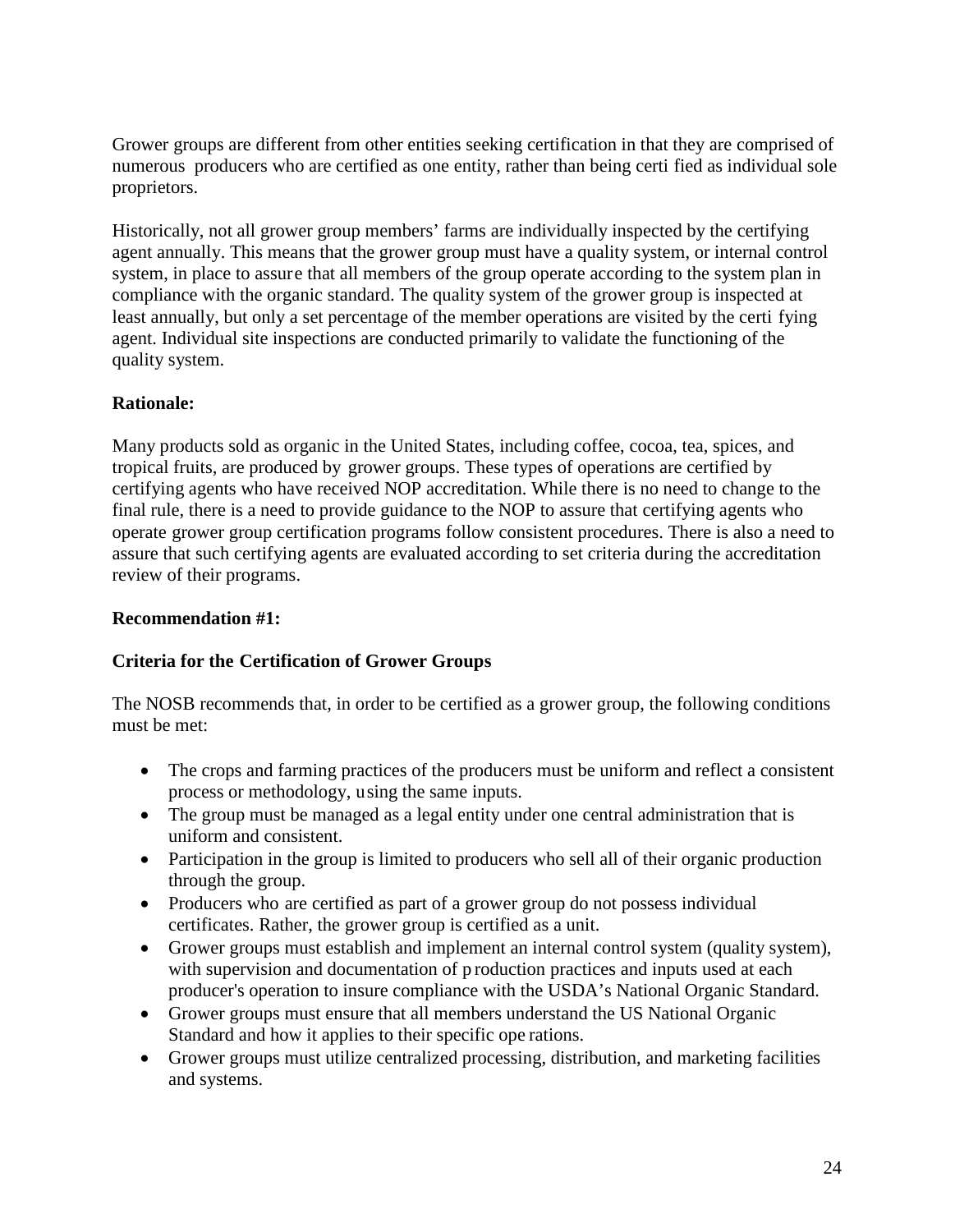Grower groups are different from other entities seeking certification in that they are comprised of numerous producers who are certified as one entity, rather than being certi fied as individual sole proprietors.

Historically, not all grower group members' farms are individually inspected by the certifying agent annually. This means that the grower group must have a quality system, or internal control system, in place to assure that all members of the group operate according to the system plan in compliance with the organic standard. The quality system of the grower group is inspected at least annually, but only a set percentage of the member operations are visited by the certi fying agent. Individual site inspections are conducted primarily to validate the functioning of the quality system.

# **Rationale:**

Many products sold as organic in the United States, including coffee, cocoa, tea, spices, and tropical fruits, are produced by grower groups. These types of operations are certified by certifying agents who have received NOP accreditation. While there is no need to change to the final rule, there is a need to provide guidance to the NOP to assure that certifying agents who operate grower group certification programs follow consistent procedures. There is also a need to assure that such certifying agents are evaluated according to set criteria during the accreditation review of their programs.

#### **Recommendation #1:**

# **Criteria for the Certification of Grower Groups**

The NOSB recommends that, in order to be certified as a grower group, the following conditions must be met:

- The crops and farming practices of the producers must be uniform and reflect a consistent process or methodology, using the same inputs.
- The group must be managed as a legal entity under one central administration that is uniform and consistent.
- Participation in the group is limited to producers who sell all of their organic production through the group.
- Producers who are certified as part of a grower group do not possess individual certificates. Rather, the grower group is certified as a unit.
- Grower groups must establish and implement an internal control system (quality system), with supervision and documentation of p roduction practices and inputs used at each producer's operation to insure compliance with the USDA's National Organic Standard.
- Grower groups must ensure that all members understand the US National Organic Standard and how it applies to their specific ope rations.
- Grower groups must utilize centralized processing, distribution, and marketing facilities and systems.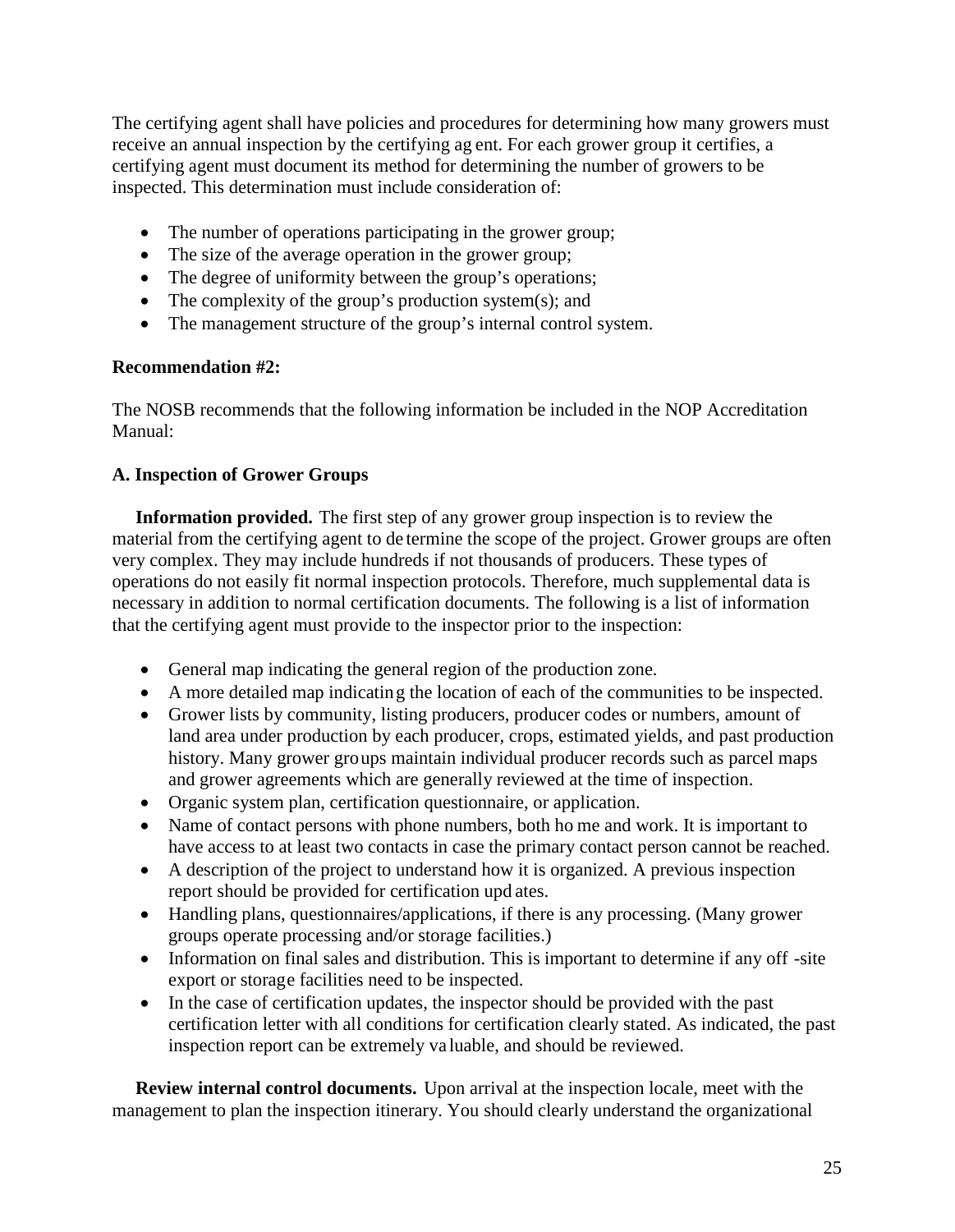The certifying agent shall have policies and procedures for determining how many growers must receive an annual inspection by the certifying ag ent. For each grower group it certifies, a certifying agent must document its method for determining the number of growers to be inspected. This determination must include consideration of:

- The number of operations participating in the grower group;
- The size of the average operation in the grower group;
- The degree of uniformity between the group's operations;
- The complexity of the group's production system(s); and
- The management structure of the group's internal control system.

#### **Recommendation #2:**

The NOSB recommends that the following information be included in the NOP Accreditation Manual:

# **A. Inspection of Grower Groups**

**Information provided.** The first step of any grower group inspection is to review the material from the certifying agent to de termine the scope of the project. Grower groups are often very complex. They may include hundreds if not thousands of producers. These types of operations do not easily fit normal inspection protocols. Therefore, much supplemental data is necessary in addition to normal certification documents. The following is a list of information that the certifying agent must provide to the inspector prior to the inspection:

- General map indicating the general region of the production zone.
- A more detailed map indicating the location of each of the communities to be inspected.
- Grower lists by community, listing producers, producer codes or numbers, amount of land area under production by each producer, crops, estimated yields, and past production history. Many grower groups maintain individual producer records such as parcel maps and grower agreements which are generally reviewed at the time of inspection.
- Organic system plan, certification questionnaire, or application.
- Name of contact persons with phone numbers, both ho me and work. It is important to have access to at least two contacts in case the primary contact person cannot be reached.
- A description of the project to understand how it is organized. A previous inspection report should be provided for certification upd ates.
- Handling plans, questionnaires/applications, if there is any processing. (Many grower groups operate processing and/or storage facilities.)
- Information on final sales and distribution. This is important to determine if any off-site export or storage facilities need to be inspected.
- In the case of certification updates, the inspector should be provided with the past certification letter with all conditions for certification clearly stated. As indicated, the past inspection report can be extremely va luable, and should be reviewed.

**Review internal control documents.** Upon arrival at the inspection locale, meet with the management to plan the inspection itinerary. You should clearly understand the organizational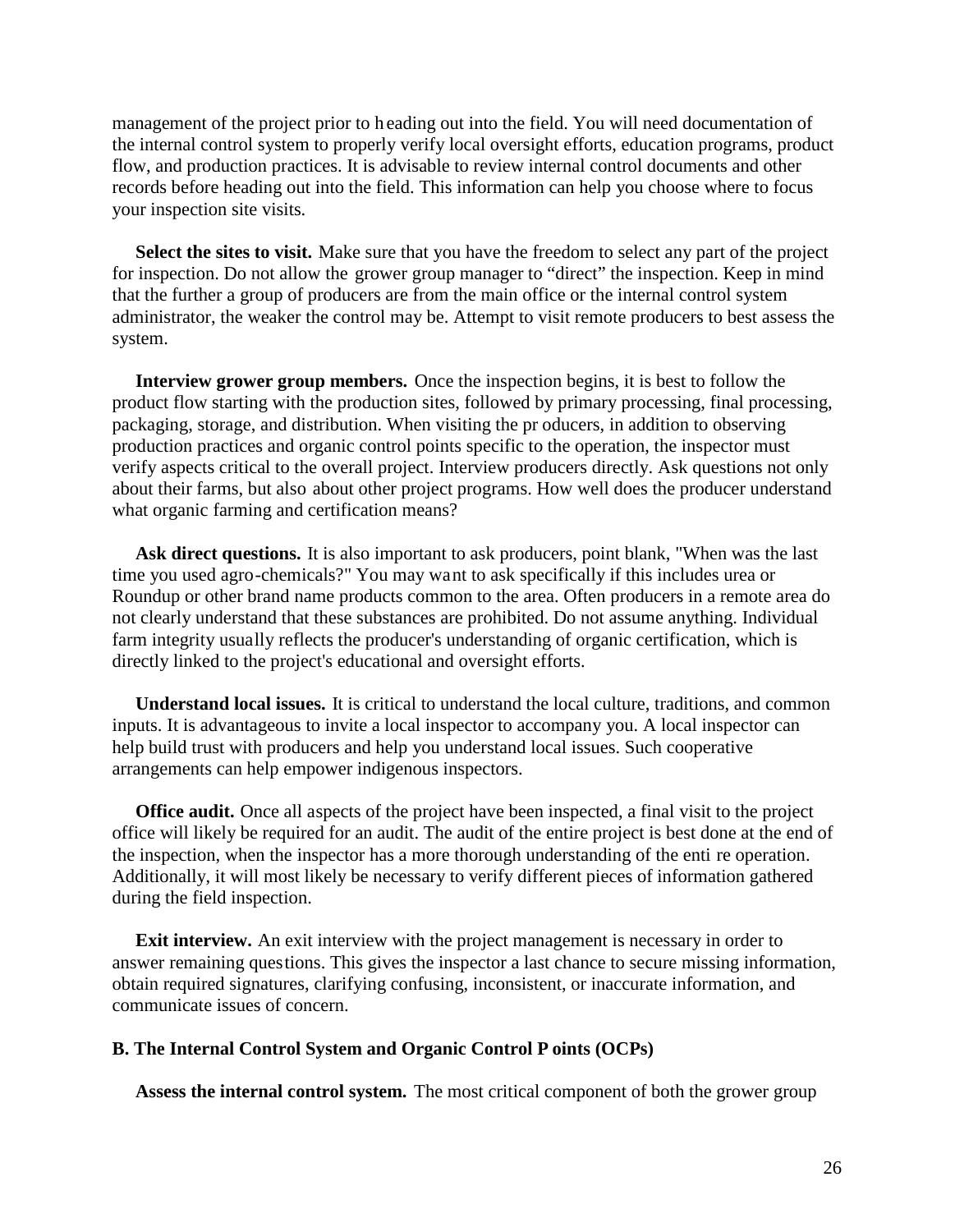management of the project prior to h eading out into the field. You will need documentation of the internal control system to properly verify local oversight efforts, education programs, product flow, and production practices. It is advisable to review internal control documents and other records before heading out into the field. This information can help you choose where to focus your inspection site visits.

**Select the sites to visit.** Make sure that you have the freedom to select any part of the project for inspection. Do not allow the grower group manager to "direct" the inspection. Keep in mind that the further a group of producers are from the main office or the internal control system administrator, the weaker the control may be. Attempt to visit remote producers to best assess the system.

**Interview grower group members.** Once the inspection begins, it is best to follow the product flow starting with the production sites, followed by primary processing, final processing, packaging, storage, and distribution. When visiting the pr oducers, in addition to observing production practices and organic control points specific to the operation, the inspector must verify aspects critical to the overall project. Interview producers directly. Ask questions not only about their farms, but also about other project programs. How well does the producer understand what organic farming and certification means?

Ask direct questions. It is also important to ask producers, point blank, "When was the last time you used agro-chemicals?" You may want to ask specifically if this includes urea or Roundup or other brand name products common to the area. Often producers in a remote area do not clearly understand that these substances are prohibited. Do not assume anything. Individual farm integrity usually reflects the producer's understanding of organic certification, which is directly linked to the project's educational and oversight efforts.

**Understand local issues.** It is critical to understand the local culture, traditions, and common inputs. It is advantageous to invite a local inspector to accompany you. A local inspector can help build trust with producers and help you understand local issues. Such cooperative arrangements can help empower indigenous inspectors.

**Office audit.** Once all aspects of the project have been inspected, a final visit to the project office will likely be required for an audit. The audit of the entire project is best done at the end of the inspection, when the inspector has a more thorough understanding of the enti re operation. Additionally, it will most likely be necessary to verify different pieces of information gathered during the field inspection.

**Exit interview.** An exit interview with the project management is necessary in order to answer remaining questions. This gives the inspector a last chance to secure missing information, obtain required signatures, clarifying confusing, inconsistent, or inaccurate information, and communicate issues of concern.

#### **B. The Internal Control System and Organic Control P oints (OCPs)**

**Assess the internal control system.** The most critical component of both the grower group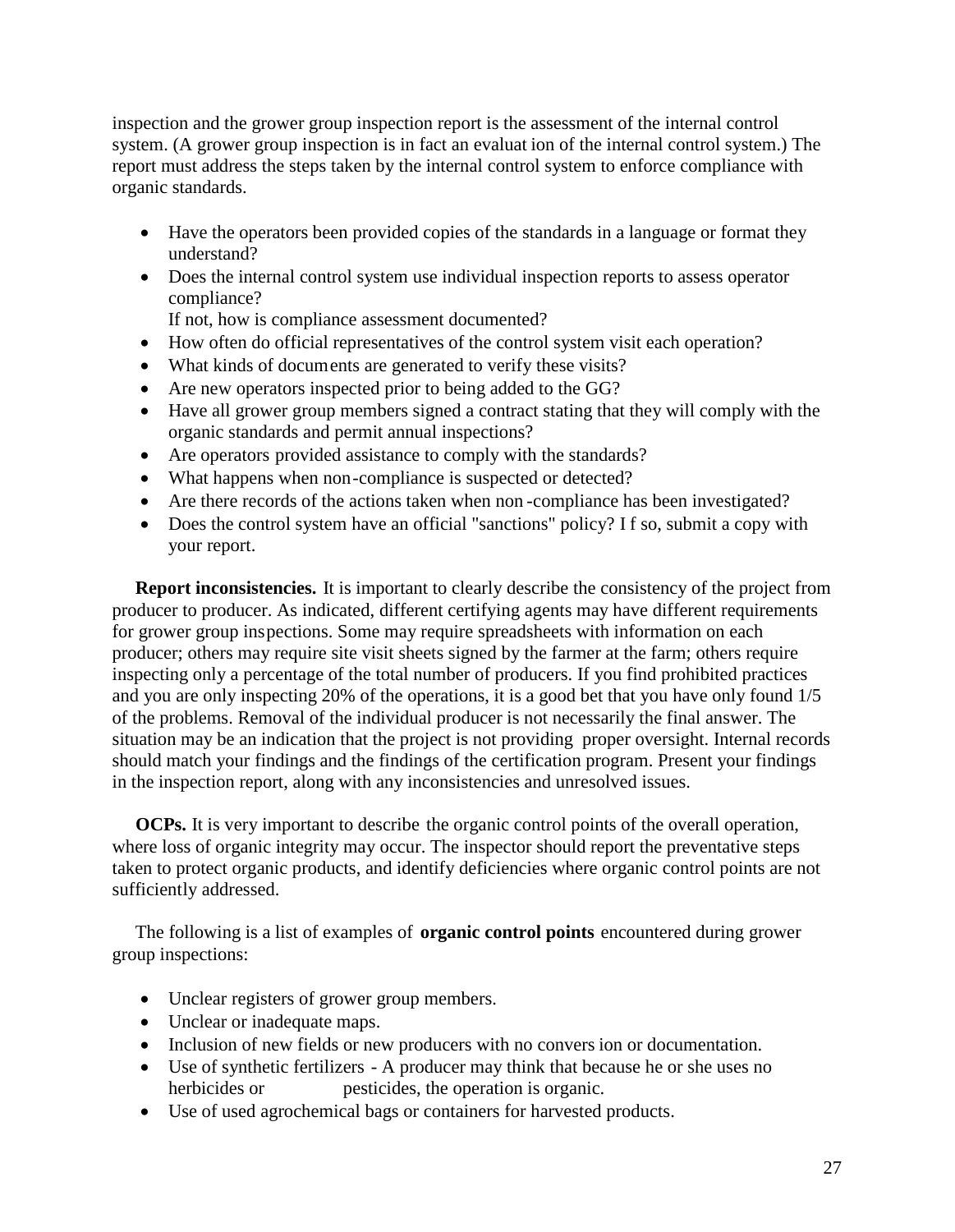inspection and the grower group inspection report is the assessment of the internal control system. (A grower group inspection is in fact an evaluat ion of the internal control system.) The report must address the steps taken by the internal control system to enforce compliance with organic standards.

- Have the operators been provided copies of the standards in a language or format they understand?
- Does the internal control system use individual inspection reports to assess operator compliance?

If not, how is compliance assessment documented?

- How often do official representatives of the control system visit each operation?
- What kinds of documents are generated to verify these visits?
- Are new operators inspected prior to being added to the GG?
- Have all grower group members signed a contract stating that they will comply with the organic standards and permit annual inspections?
- Are operators provided assistance to comply with the standards?
- What happens when non-compliance is suspected or detected?
- Are there records of the actions taken when non -compliance has been investigated?
- Does the control system have an official "sanctions" policy? If so, submit a copy with your report.

 **Report inconsistencies.** It is important to clearly describe the consistency of the project from producer to producer. As indicated, different certifying agents may have different requirements for grower group inspections. Some may require spreadsheets with information on each producer; others may require site visit sheets signed by the farmer at the farm; others require inspecting only a percentage of the total number of producers. If you find prohibited practices and you are only inspecting 20% of the operations, it is a good bet that you have only found 1/5 of the problems. Removal of the individual producer is not necessarily the final answer. The situation may be an indication that the project is not providing proper oversight. Internal records should match your findings and the findings of the certification program. Present your findings in the inspection report, along with any inconsistencies and unresolved issues.

**OCPs.** It is very important to describe the organic control points of the overall operation, where loss of organic integrity may occur. The inspector should report the preventative steps taken to protect organic products, and identify deficiencies where organic control points are not sufficiently addressed.

 The following is a list of examples of **organic control points** encountered during grower group inspections:

- Unclear registers of grower group members.
- Unclear or inadequate maps.
- Inclusion of new fields or new producers with no convers ion or documentation.
- Use of synthetic fertilizers A producer may think that because he or she uses no herbicides or pesticides, the operation is organic.
- Use of used agrochemical bags or containers for harvested products.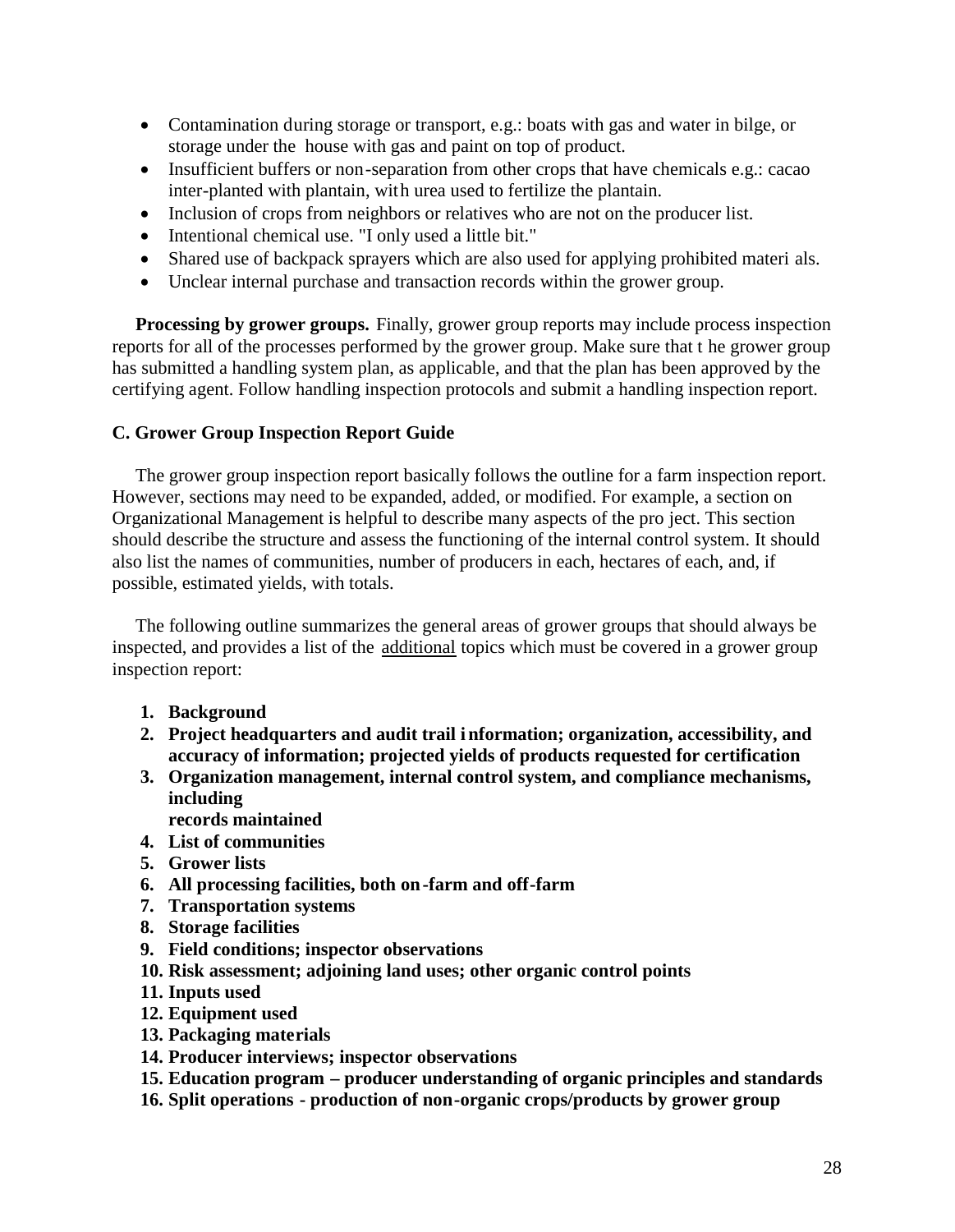- Contamination during storage or transport, e.g.: boats with gas and water in bilge, or storage under the house with gas and paint on top of product.
- Insufficient buffers or non-separation from other crops that have chemicals e.g.: cacao inter-planted with plantain, with urea used to fertilize the plantain.
- Inclusion of crops from neighbors or relatives who are not on the producer list.
- Intentional chemical use. "I only used a little bit."
- Shared use of backpack sprayers which are also used for applying prohibited materi als.
- Unclear internal purchase and transaction records within the grower group.

**Processing by grower groups.** Finally, grower group reports may include process inspection reports for all of the processes performed by the grower group. Make sure that t he grower group has submitted a handling system plan, as applicable, and that the plan has been approved by the certifying agent. Follow handling inspection protocols and submit a handling inspection report.

#### **C. Grower Group Inspection Report Guide**

The grower group inspection report basically follows the outline for a farm inspection report. However, sections may need to be expanded, added, or modified. For example, a section on Organizational Management is helpful to describe many aspects of the pro ject. This section should describe the structure and assess the functioning of the internal control system. It should also list the names of communities, number of producers in each, hectares of each, and, if possible, estimated yields, with totals.

 The following outline summarizes the general areas of grower groups that should always be inspected, and provides a list of the additional topics which must be covered in a grower group inspection report:

- **1. Background**
- **2. Project headquarters and audit trail i nformation; organization, accessibility, and accuracy of information; projected yields of products requested for certification**
- **3. Organization management, internal control system, and compliance mechanisms, including**
- **records maintained**
- **4. List of communities**
- **5. Grower lists**
- **6. All processing facilities, both on-farm and off-farm**
- **7. Transportation systems**
- **8. Storage facilities**
- **9. Field conditions; inspector observations**
- **10. Risk assessment; adjoining land uses; other organic control points**
- **11. Inputs used**
- **12. Equipment used**
- **13. Packaging materials**
- **14. Producer interviews; inspector observations**
- **15. Education program – producer understanding of organic principles and standards**
- **16. Split operations production of non-organic crops/products by grower group**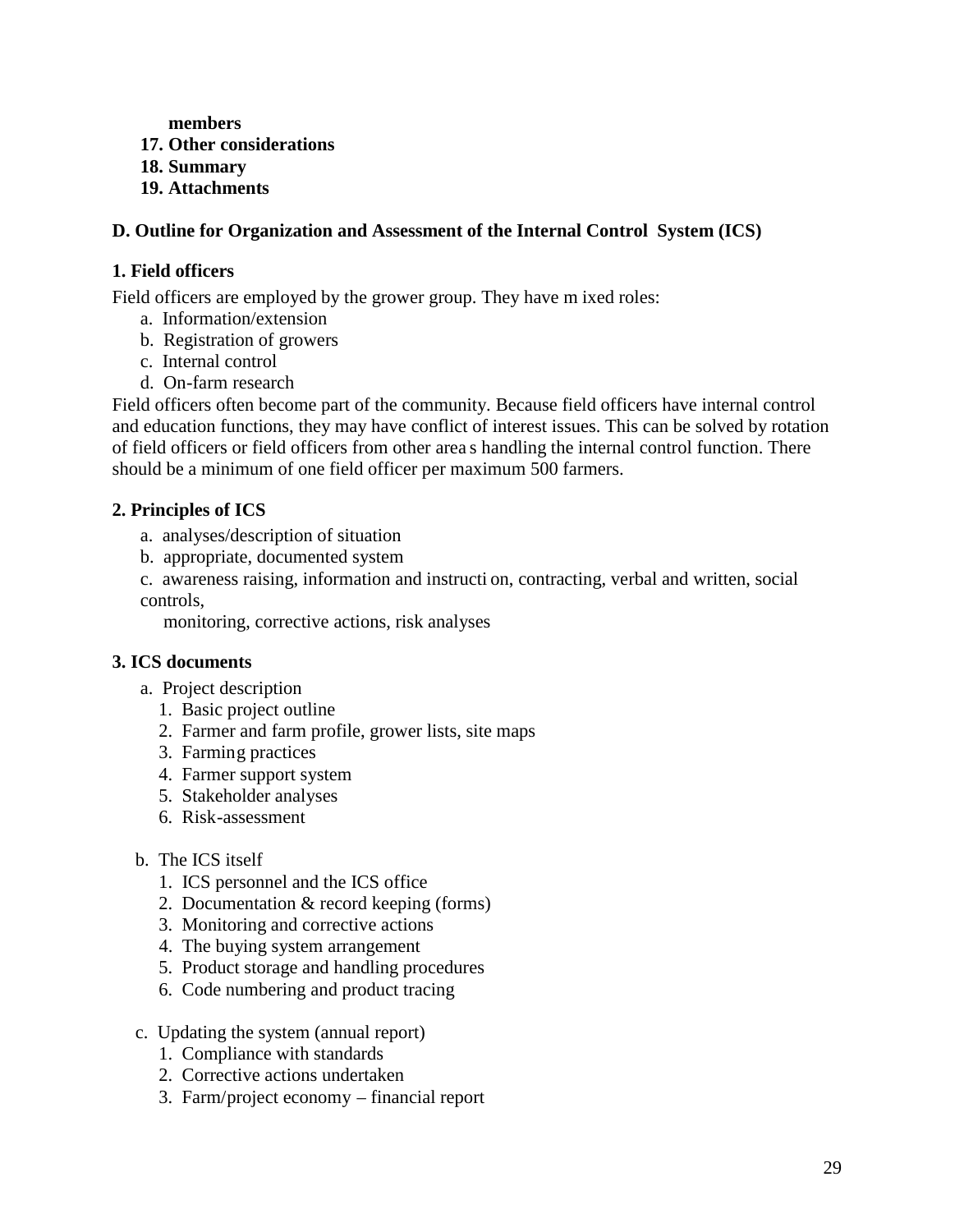**members**

- **17. Other considerations**
- **18. Summary**
- **19. Attachments**

# **D. Outline for Organization and Assessment of the Internal Control System (ICS)**

# **1. Field officers**

Field officers are employed by the grower group. They have m ixed roles:

- a. Information/extension
- b. Registration of growers
- c. Internal control
- d. On-farm research

Field officers often become part of the community. Because field officers have internal control and education functions, they may have conflict of interest issues. This can be solved by rotation of field officers or field officers from other area s handling the internal control function. There should be a minimum of one field officer per maximum 500 farmers.

# **2. Principles of ICS**

- a. analyses/description of situation
- b. appropriate, documented system
- c. awareness raising, information and instructi on, contracting, verbal and written, social controls,

monitoring, corrective actions, risk analyses

# **3. ICS documents**

- a. Project description
	- 1. Basic project outline
	- 2. Farmer and farm profile, grower lists, site maps
	- 3. Farming practices
	- 4. Farmer support system
	- 5. Stakeholder analyses
	- 6. Risk-assessment

# b. The ICS itself

- 1. ICS personnel and the ICS office
- 2. Documentation & record keeping (forms)
- 3. Monitoring and corrective actions
- 4. The buying system arrangement
- 5. Product storage and handling procedures
- 6. Code numbering and product tracing
- c. Updating the system (annual report)
	- 1. Compliance with standards
	- 2. Corrective actions undertaken
	- 3. Farm/project economy financial report